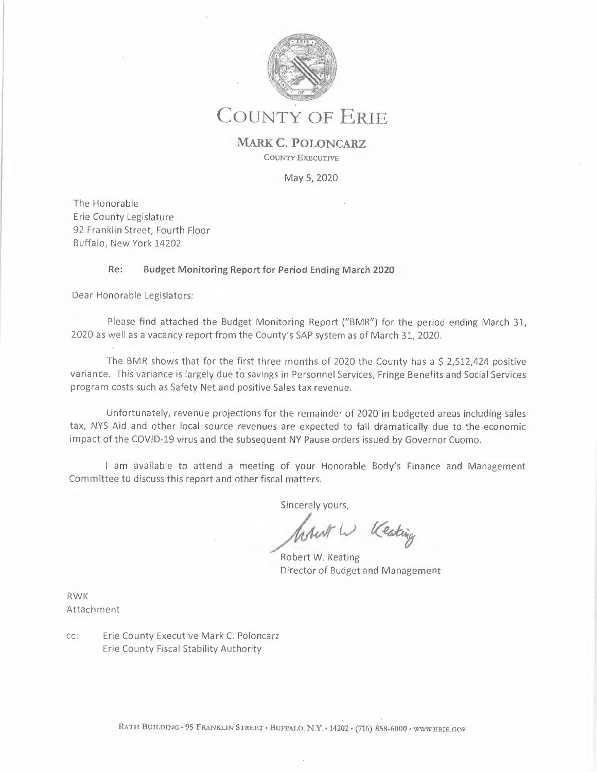

## **COUNTY OF ERIE**

**MARK C. POLONCARZ COUNTY EXECUTIVE** 

May 5, 2020

The Honorable Erie County Legislature 92 Franklin Street, Fourth Floor Buffalo, New York 14202

## **Re: Budget Monitoring Report for Period Ending March 2020**

Dear Honorable Legislators:

Please find attached the Budget Monitoring Report ("BMR") for the period ending March 31, 2020 as well as a vacancy report from the County's SAP system as of March 31, 2020.

The BMR shows that for the first three months of 2020 the County has a \$ 2,512,424 positive variance. This variance is largely due to savings in Personnel Services, Fringe Benefits and Social Services program costs such as Safety Net and positive Sales tax revenue.

Unfortunately, revenue projections for the remainder of 2020 in budgeted areas including sales tax, NYS Aid and other local source revenues are expected to fall dramatically due to the economic impact of the COVID-19 virus and the subsequent NY Pause orders issued by Governor Cuomo.

I am available to attend a meeting of your Honorable Body's Finance and Management Committee to discuss this report and other fiscal matters.

sincerely yours,<br>*lastent* W (Ceating

Robert W. Keating Director of Budget and Management

RWK Attachment

cc: Erie County Executive Mark C. Poloncarz Erie County Fiscal Stability Authority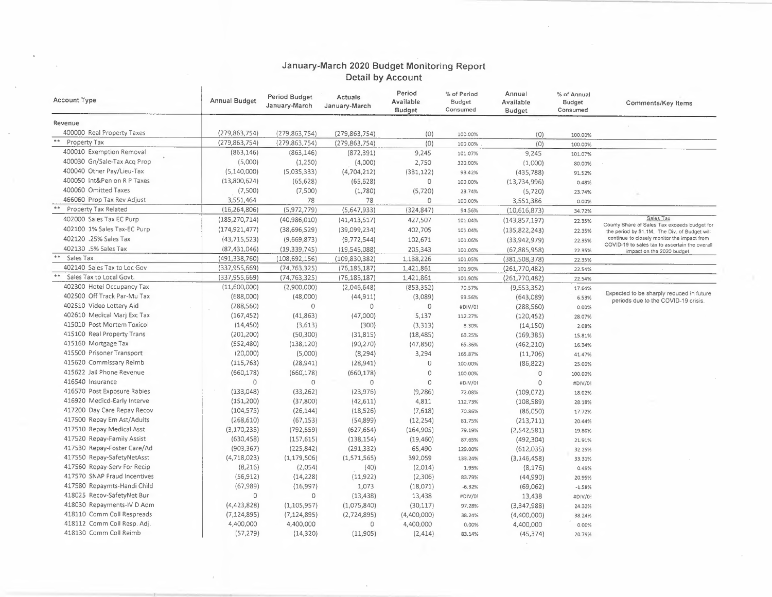## **January-March 2020 Budget Monitoring Report Detail by Account**

| <b>Account Type</b>          | <b>Annual Budget</b> | Period Budget<br>January-March | Actuals<br>January-March | Period<br>Available<br><b>Budget</b> | % of Period<br>Budget<br>Consumed | Annual<br>Available<br><b>Budget</b> | % of Annual<br><b>Budget</b><br>Consumed | Comments/Key Items                                                                            |
|------------------------------|----------------------|--------------------------------|--------------------------|--------------------------------------|-----------------------------------|--------------------------------------|------------------------------------------|-----------------------------------------------------------------------------------------------|
| Revenue                      |                      |                                |                          |                                      |                                   |                                      |                                          |                                                                                               |
| 400000 Real Property Taxes   | (279, 863, 754)      | (279, 863, 754)                | (279, 863, 754)          | (0)                                  | 100.00%                           | (0)                                  | 100.00%                                  |                                                                                               |
| Property Tax                 | (279, 863, 754)      | (279, 863, 754)                | (279, 863, 754)          | (0)                                  | 100.00%                           | (0)                                  | 100.00%                                  |                                                                                               |
| 400010 Exemption Removal     | (863, 146)           | (863, 146)                     | (872, 391)               | 9,245                                | 101.07%                           | 9,245                                | 101.07%                                  |                                                                                               |
| 400030 Gn/Sale-Tax Acq Prop  | (5,000)              | (1,250)                        | (4,000)                  | 2,750                                | 320.00%                           | (1,000)                              | 80.00%                                   |                                                                                               |
| 400040 Other Pay/Lieu-Tax    | (5, 140, 000)        | (5,035,333)                    | (4,704,212)              | (331, 122)                           | 93.42%                            | (435, 788)                           | 91.52%                                   |                                                                                               |
| 400050 Int&Pen on R P Taxes  | (13,800,624)         | (65, 628)                      | (65, 628)                | $\circ$                              | 100.00%                           | (13, 734, 996)                       | 0.48%                                    |                                                                                               |
| 400060 Omitted Taxes         | (7,500)              | (7,500)                        | (1,780)                  | (5, 720)                             | 23.74%                            | (5,720)                              | 23.74%                                   |                                                                                               |
| 466060 Prop Tax Rev Adjust   | 3,551,464            | 78                             | 78                       | $\circ$                              | 100.00%                           | 3,551,386                            | 0.00%                                    |                                                                                               |
| Property Tax Related         | (16, 264, 806)       | (5,972,779)                    | (5,647,933)              | (324, 847)                           | 94.56%                            | (10,616,873)                         | 34.72%                                   |                                                                                               |
| 402000 Sales Tax EC Purp     | (185, 270, 714)      | (40,986,010)                   | (41, 413, 517)           | 427,507                              | 101.04%                           | (143, 857, 197)                      | 22.35%                                   | Sales Tax                                                                                     |
| 402100 1% Sales Tax-EC Purp  | (174, 921, 477)      | (38,696,529)                   | (39,099,234)             | 402,705                              | 101.04%                           | (135, 822, 243)                      | 22.35%                                   | County Share of Sales Tax exceeds budget for<br>the period by \$1.1M. The Div. of Budget will |
| 402120 .25% Sales Tax        | (43, 715, 523)       | (9,669,873)                    | (9,772,544)              | 102,671                              | 101.06%                           | (33,942,979)                         | 22.35%                                   | continue to closely monitor the impact from                                                   |
| 402130 .5% Sales Tax         | (87, 431, 046)       | (19, 339, 745)                 | (19,545,088)             | 205,343                              | 101.06%                           | (67, 885, 958)                       | 22.35%                                   | COVID-19 to sales tax to ascertain the overall<br>impact on the 2020 budget.                  |
| Sales Tax                    | (491, 338, 760)      | (108, 692, 156)                | (109, 830, 382)          | 1,138,226                            | 101.05%                           | (381, 508, 378)                      | 22.35%                                   |                                                                                               |
| 402140 Sales Tax to Loc Gov  | (337, 955, 669)      | (74, 763, 325)                 | (76, 185, 187)           | 1,421,861                            | 101.90%                           | (261, 770, 482)                      | 22.54%                                   |                                                                                               |
| Sales Tax to Local Govt.     | (337, 955, 669)      | (74, 763, 325)                 | (76, 185, 187)           | 1,421,861                            | 101.90%                           | (261,770,482)                        | 22.54%                                   |                                                                                               |
| 402300 Hotel Occupancy Tax   | (11,600,000)         | (2,900,000)                    | (2,046,648)              | (853, 352)                           | 70.57%                            | (9,553,352)                          | 17.64%                                   |                                                                                               |
| 402500 Off Track Par-Mu Tax  | (688,000)            | (48,000)                       | (44, 911)                | (3,089)                              | 93.56%                            | (643,089)                            | 6.53%                                    | Expected to be sharply reduced in future                                                      |
| 402510 Video Lottery Aid     | (288, 560)           | $\mathbf 0$                    | 0                        | $\mathbb O$                          | #DIV/0!                           | (288, 560)                           | $0.00\%$                                 | periods due to the COVID-19 crisis.                                                           |
| 402610 Medical Mari Exc Tax  | (167, 452)           | (41, 863)                      | (47,000)                 | 5,137                                | 112.27%                           | (120, 452)                           | 28.07%                                   |                                                                                               |
| 415010 Post Mortem Toxicol   | (14, 450)            | (3,613)                        | (300)                    | (3, 313)                             | 8.30%                             | (14, 150)                            | 2.08%                                    |                                                                                               |
| 415100 Real Property Trans   | (201, 200)           | (50, 300)                      | (31, 815)                | (18, 485)                            | 63.25%                            | (169, 385)                           | 15.81%                                   |                                                                                               |
| 415160 Mortgage Tax          | (552, 480)           | (138, 120)                     | (90, 270)                | (47, 850)                            | 65.36%                            | (462, 210)                           | 16.34%                                   |                                                                                               |
| 415500 Prisoner Transport    | (20,000)             | (5,000)                        | (8, 294)                 | 3,294                                | 165.87%                           | (11,706)                             | 41.47%                                   |                                                                                               |
| 415620 Commissary Reimb      | (115, 763)           | (28, 941)                      | (28, 941)                | $\circ$                              | 100.00%                           | (86, 822)                            | 25.00%                                   |                                                                                               |
| 415622 Jail Phone Revenue    | (660, 178)           | (660, 178)                     | (660, 178)               | 0                                    | 100.00%                           | $\circ$                              | 100.00%                                  |                                                                                               |
| 416540 Insurance             | $\circ$              | $\circ$                        | $\circ$                  | $\circ$                              | #DIV/0!                           | $\circ$                              | #DIV/0!                                  |                                                                                               |
| 416570 Post Exposure Rabies  | (133, 048)           | (33, 262)                      | (23, 976)                | (9, 286)                             | 72.08%                            | (109, 072)                           | 18.02%                                   |                                                                                               |
| 416920 Medicd-Early Interve  | (151, 200)           | (37, 800)                      | (42, 611)                | 4,811                                | 112.73%                           | (108, 589)                           | 28.18%                                   |                                                                                               |
| 417200 Day Care Repay Recov  | (104, 575)           | (26, 144)                      | (18, 526)                | (7,618)                              | 70.86%                            | (86,050)                             | 17.72%                                   |                                                                                               |
| 417500 Repay Em Ast/Adults   | (268, 610)           | (67, 153)                      | (54, 899)                | (12, 254)                            | 81.75%                            | (213, 711)                           | 20.44%                                   |                                                                                               |
| 417510 Repay Medical Asst    | (3, 170, 235)        | (792, 559)                     | (627, 654)               | (164, 905)                           | 79.19%                            | (2,542,581)                          | 19.80%                                   |                                                                                               |
| 417520 Repay-Family Assist   | (630, 458)           | (157, 615)                     | (138, 154)               | (19, 460)                            | 87.65%                            | (492, 304)                           | 21.91%                                   |                                                                                               |
| 417530 Repay-Foster Care/Ad  | (903, 367)           | (225, 842)                     | (291, 332)               | 65,490                               | 129.00%                           | (612, 035)                           | 32.25%                                   |                                                                                               |
| 417550 Repay-SafetyNetAsst   | (4,718,023)          | (1, 179, 506)                  | (1,571,565)              | 392,059                              | 133.24%                           | (3, 146, 458)                        | 33.31%                                   |                                                                                               |
| 417560 Repay-Serv For Recip  | (8, 216)             | (2,054)                        | (40)                     | (2,014)                              | 1.95%                             | (8, 176)                             | 0.49%                                    |                                                                                               |
| 417570 SNAP Fraud Incentives | (56, 912)            | (14, 228)                      | (11, 922)                | (2,306)                              | 83.79%                            | (44,990)                             | 20.95%                                   |                                                                                               |
| 417580 Repaymts-Handi Child  | (67,989)             | (16,997)                       | 1,073                    | (18,071)                             | $-6.32%$                          | (69,062)                             | $-1.58%$                                 |                                                                                               |
| 418025 Recov-SafetyNet Bur   | 0                    | $\circ$                        | (13, 438)                | 13,438                               | #DIV/01                           | 13,438                               | #DIV/0!                                  |                                                                                               |
| 418030 Repayments-IV D Adm   | (4,423,828)          | (1, 105, 957)                  | (1,075,840)              | (30, 117)                            | 97.28%                            | (3,347,988)                          | 24.32%                                   |                                                                                               |
| 418110 Comm Coll Respreads   | (7, 124, 895)        | (7, 124, 895)                  | (2,724,895)              | (4,400,000)                          | 38.24%                            | (4,400,000)                          | 38.24%                                   |                                                                                               |
| 418112 Comm Coll Resp. Adj.  | 4,400,000            | 4,400,000                      | 0                        | 4,400,000                            | 0.00%                             | 4,400,000                            | 0.00%                                    |                                                                                               |
| 418130 Comm Coll Reimb       | (57, 279)            | (14, 320)                      | (11,905)                 | (2, 414)                             | 83.14%                            | (45, 374)                            | 20.79%                                   |                                                                                               |

 $\bar{r}$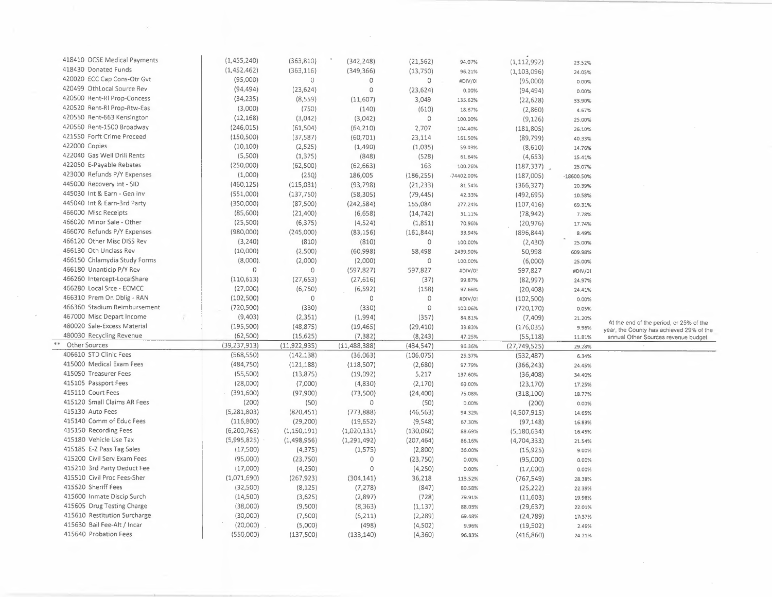| 418410 OCSE Medical Payments | (1,455,240)    | (363, 810)     | (342, 248)     | (21, 562)  | 94.07%     | (1, 112, 992)  | 23.52%        |                                          |
|------------------------------|----------------|----------------|----------------|------------|------------|----------------|---------------|------------------------------------------|
| 418430 Donated Funds         | (1,452,462)    | (363, 116)     | (349, 366)     | (13,750)   | 96.21%     | (1, 103, 096)  | 24.05%        |                                          |
| 420020 ECC Cap Cons-Otr Gvt  | (95,000)       | 0              | 0              | 0          | #DIV/0!    | (95,000)       | 0.00%         |                                          |
| 420499 OthLocal Source Rev   | (94, 494)      | (23, 624)      | $\circ$        | (23, 624)  | 0.00%      | (94, 494)      | 0.00%         |                                          |
| 420500 Rent-RI Prop-Concess  | (34, 235)      | (8,559)        | (11,607)       | 3,049      | 135.62%    | (22, 628)      | 33.90%        |                                          |
| 420520 Rent-RI Prop-Rtw-Eas  | (3,000)        | (750)          | (140)          | (610)      | 18.67%     | (2,860)        | 4.67%         |                                          |
| 420550 Rent-663 Kensington   | (12, 168)      | (3,042)        | (3,042)        | $\circ$    | 100.00%    | (9, 126)       | 25.00%        |                                          |
| 420560 Rent-1500 Broadway    | (246, 015)     | (61, 504)      | (64, 210)      | 2,707      | 104.40%    | (181, 805)     | 26.10%        |                                          |
| 421550 Forft Crime Proceed   | (150, 500)     | (37, 587)      | (60, 701)      | 23,114     | 161.50%    | (89, 799)      | 40.33%        |                                          |
| 422000 Copies                | (10, 100)      | (2,525)        | (1,490)        | (1,035)    | 59.03%     | (8,610)        | 14.76%        |                                          |
| 422040 Gas Well Drill Rents  | (5,500)        | (1, 375)       | (848)          | (528)      | 61.64%     | (4,653)        | 15.41%        |                                          |
| 422050 E-Payable Rebates     | (250,000)      | (62, 500)      | (62, 663)      | 163        | 100.26%    | (187, 337)     | 25.07%        |                                          |
| 423000 Refunds P/Y Expenses  | (1,000)        | (25Q)          | 186,005        | (186, 255) | -74402.00% | (187,005)      | $-18600.50\%$ |                                          |
| 445000 Recovery Int - SID    | (460, 125)     | (115,031)      | (93, 798)      | (21, 233)  | 81.54%     |                |               |                                          |
| 445030 Int & Earn - Gen Inv  | (551,000)      | (137,750)      | (58, 305)      | (79, 445)  |            | (366, 327)     | 20.39%        |                                          |
| 445040 Int & Earn-3rd Party  | (350,000)      | (87,500)       |                |            | 42.33%     | (492, 695)     | 10.58%        |                                          |
| 466000 Misc Receipts         |                |                | (242, 584)     | 155,084    | 277.24%    | (107, 416)     | 69.31%        |                                          |
| 466020 Minor Sale - Other    | (85,600)       | (21, 400)      | (6,658)        | (14, 742)  | 31.11%     | (78, 942)      | 7.78%         |                                          |
|                              | (25,500)       | (6, 375)       | (4,524)        | (1,851)    | 70.96%     | (20, 976)      | 17.74%        |                                          |
| 466070 Refunds P/Y Expenses  | (980,000)      | (245,000)      | (83, 156)      | (161, 844) | 33.94%     | (896, 844)     | 8.49%         |                                          |
| 466120 Other Misc DISS Rev   | (3, 240)       | (810)          | (810)          | $\circ$    | 100.00%    | (2,430)        | 25.00%        |                                          |
| 466130 Oth Unclass Rev       | (10,000)       | (2,500)        | (60,998)       | 58,498     | 2439.90%   | 50,998         | 609.98%       |                                          |
| 466150 Chlamydia Study Forms | $(8,000)$ .    | (2,000)        | (2,000)        | 0          | 100.00%    | (6,000)        | 25.00%        |                                          |
| 466180 Unanticip P/Y Rev     | $\circ$        | $\mathbb O$    | (597, 827)     | 597,827    | #DIV/0!    | 597,827        | #DIV/0!       |                                          |
| 466260 Intercept-LocalShare  | (110, 613)     | (27, 653)      | (27,616)       | (37)       | 99.87%     | (82,997)       | 24.97%        |                                          |
| 466280 Local Srce - ECMCC    | (27,000)       | (6,750)        | (6, 592)       | (158)      | 97.66%     | (20, 408)      | 24.41%        |                                          |
| 466310 Prem On Oblig - RAN   | (102, 500)     | $\circ$        | 0              | 0          | #DIV/0!    | (102, 500)     | 0.00%         |                                          |
| 466360 Stadium Reimbursement | (720, 500)     | (330)          | (330)          | 0          | 100.06%    | (720, 170)     | 0.05%         |                                          |
| 467000 Misc Depart Income    | (9,403)        | (2, 351)       | (1,994)        | (357)      | 84.81%     | (7,409)        | 21.20%        | At the end of the period, or 25% of the  |
| 480020 Sale-Excess Material  | (195, 500)     | (48, 875)      | (19, 465)      | (29, 410)  | 39.83%     | (176, 035)     | 9.96%         | year, the County has achieved 29% of the |
| 480030 Recycling Revenue     | (62,500)       | (15, 625)      | (7, 382)       | (8, 243)   | 47.25%     | (55, 118)      | 11.81%        | annual Other Sources revenue budget.     |
| Other Sources                | (39, 237, 913) | (11, 922, 935) | (11, 488, 388) | (434, 547) | 96.36%     | (27, 749, 525) | 29.28%        |                                          |
| 406610 STD Clinic Fees       | (568, 550)     | (142, 138)     | (36,063)       | (106, 075) | 25.37%     | (532, 487)     | 6.34%         |                                          |
| 415000 Medical Exam Fees     | (484, 750)     | (121, 188)     | (118, 507)     | (2,680)    | 97.79%     | (366, 243)     | 24.45%        |                                          |
| 415050 Treasurer Fees        | (55,500)       | (13, 875)      | (19,092)       | 5,217      | 137.60%    | (36, 408)      | 34.40%        |                                          |
| 415105 Passport Fees         | (28,000)       | (7,000)        | (4,830)        | (2, 170)   | 69.00%     | (23, 170)      | 17.25%        |                                          |
| 415110 Court Fees            | (391,600)      | (97,900)       | (73,500)       | (24, 400)  | 75.08%     | (318, 100)     | 18.77%        |                                          |
| 415120 Small Claims AR Fees  | (200)          | (50)           | $\circ$        | (50)       | 0.00%      | (200)          | 0.00%         |                                          |
| 415130 Auto Fees             | (5,281,803)    | (820, 451)     | (773, 888)     | (46, 563)  | 94.32%     | (4,507,915)    | 14.65%        |                                          |
| 415140 Comm of Educ Fees     | (116, 800)     | (29, 200)      | (19, 652)      | (9,548)    | 67.30%     | (97, 148)      | 16.83%        |                                          |
| 415150 Recording Fees        | (6,200,765)    | (1, 150, 191)  | (1,020,131)    | (130,060)  | 88.69%     | (5, 180, 634)  | 16.45%        |                                          |
| 415180 Vehicle Use Tax       | (5,995,825)    | (1,498,956)    | (1, 291, 492)  | (207, 464) | 86.16%     | (4,704,333)    | 21.54%        |                                          |
| 415185 E-Z Pass Tag Sales    | (17,500)       | (4, 375)       | (1, 575)       | (2,800)    | 36.00%     | (15, 925)      | 9.00%         |                                          |
| 415200 Civil Serv Exam Fees  | (95,000)       | (23, 750)      | $\mathbf 0$    | (23, 750)  | 0.00%      | (95,000)       | 0.00%         |                                          |
| 415210 3rd Party Deduct Fee  | (17,000)       | (4,250)        | $\mathbf{0}$   | (4,250)    | 0.00%      | (17,000)       | 0.00%         |                                          |
| 415510 Civil Proc Fees-Sher  | (1,071,690)    | (267, 923)     | (304, 141)     | 36,218     | 113.52%    | (767, 549)     | 28.38%        |                                          |
| 415520 Sheriff Fees          | (32,500)       | (8, 125)       | (7, 278)       | (847)      | 89.58%     | (25, 222)      | 22.39%        |                                          |
| 415600 Inmate Discip Surch   | (14,500)       | (3,625)        | (2,897)        | (728)      | 79.91%     | (11,603)       | 19.98%        |                                          |
| 415605 Drug Testing Charge   | (38,000)       | (9,500)        | (8, 363)       | (1, 137)   | 88.03%     | (29, 637)      | 22.01%        |                                          |
| 415610 Restitution Surcharge | (30,000)       | (7,500)        | (5,211)        | (2, 289)   | 69.48%     | (24, 789)      | 17.37%        |                                          |
| 415630 Bail Fee-Alt / Incar  | (20,000)       | (5,000)        | (498)          | (4, 502)   | 9.96%      | (19, 502)      | 2.49%         |                                          |
| 415640 Probation Fees        | (550,000)      | (137,500)      | (133, 140)     | (4,360)    | 96.83%     | (416, 860)     | 24.21%        |                                          |
|                              |                |                |                |            |            |                |               |                                          |

 $\sim 10^6$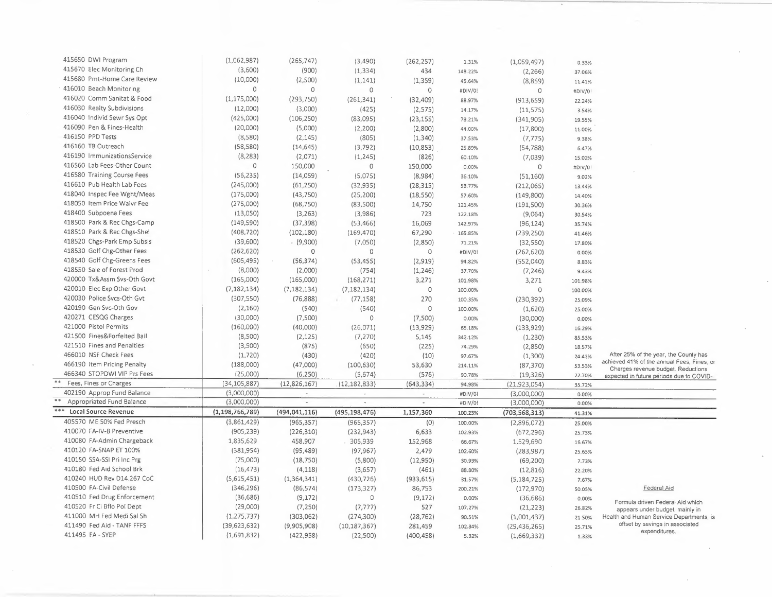| 415650 DWI Program          | (1,062,987)        | (265, 747)               | (3,490)         | (262, 257)               | 1.31%   | (1,059,497)     | 0.33%   |                                                                                |
|-----------------------------|--------------------|--------------------------|-----------------|--------------------------|---------|-----------------|---------|--------------------------------------------------------------------------------|
| 415670 Elec Monitoring Ch   | (3,600)            | (900)                    | (1, 334)        | 434                      | 148.22% | (2, 266)        | 37.06%  |                                                                                |
| 415680 Pmt-Home Care Review | (10,000)           | (2,500)                  | (1, 141)        | (1, 359)                 | 45.64%  | (8,859)         | 11.41%  |                                                                                |
| 416010 Beach Monitoring     | O                  | $\circ$                  | $\circ$         | $\circ$                  | #DIV/0! | $\circ$         | #DIV/0! |                                                                                |
| 416020 Comm Sanitat & Food  | (1, 175, 000)      | (293, 750)               | (261, 341)      | (32, 409)                | 88.97%  | (913, 659)      | 22.24%  |                                                                                |
| 416030 Realty Subdivisions  | (12,000)           | (3,000)                  | (425)           | (2, 575)                 | 14.17%  | (11, 575)       | 3.54%   |                                                                                |
| 416040 Individ Sewr Sys Opt | (425,000)          | (106, 250)               | (83,095)        | (23, 155)                | 78.21%  | (341,905)       | 19.55%  |                                                                                |
| 416090 Pen & Fines-Health   | (20,000)           | (5,000)                  | (2,200)         | (2,800)                  | 44.00%  | (17,800)        | 11.00%  |                                                                                |
| 416150 PPD Tests            | (8,580)            | (2, 145)                 | (805)           | (1, 340)                 | 37.53%  | (7, 775)        | 9.38%   |                                                                                |
| 416160 TB Outreach          | (58, 580)          | (14, 645)                | (3, 792)        | (10, 853)                | 25.89%  |                 |         |                                                                                |
| 416190 ImmunizationsService | (8, 283)           | (2,071)                  | (1, 245)        | (826)                    |         | (54, 788)       | 6.47%   |                                                                                |
| 416560 Lab Fees-Other Count | 0                  | 150,000                  | $\circ$         |                          | 60.10%  | (7,039)         | 15.02%  |                                                                                |
| 416580 Training Course Fees |                    |                          |                 | 150,000                  | 0.00%   | 0               | #DIV/0! |                                                                                |
| 416610 Pub Health Lab Fees  | (56, 235)          | (14, 059)                | (5,075)         | (8,984)                  | 36.10%  | (51, 160)       | 9.02%   |                                                                                |
|                             | (245,000)          | (61, 250)                | (32, 935)       | (28, 315)                | 53.77%  | (212,065)       | 13.44%  |                                                                                |
| 418040 Inspec Fee Wght/Meas | (175,000)          | (43, 750)                | (25, 200)       | (18, 550)                | 57.60%  | (149, 800)      | 14.40%  |                                                                                |
| 418050 Item Price Waivr Fee | (275,000)          | (68, 750)                | (83,500)        | 14,750                   | 121.45% | (191, 500)      | 30.36%  |                                                                                |
| 418400 Subpoena Fees        | (13,050)           | (3,263)                  | (3,986)         | 723                      | 122.18% | (9,064)         | 30.54%  |                                                                                |
| 418500 Park & Rec Chgs-Camp | (149, 590)         | (37, 398)                | (53, 466)       | 16,069                   | 142.97% | (96, 124)       | 35.74%  |                                                                                |
| 418510 Park & Rec Chgs-Shel | (408, 720)         | (102, 180)               | (169, 470)      | 67,290                   | 165.85% | (239, 250)      | 41.46%  |                                                                                |
| 418520 Chgs-Park Emp Subsis | (39,600)           | (9,900)                  | (7,050)         | (2,850)                  | 71.21%  | (32, 550)       | 17.80%  |                                                                                |
| 418530 Golf Chg-Other Fees  | (262, 620)         | $\circ$                  | $\circ$         | $\mathbb O$              | #DIV/0! | (262, 620)      | 0.00%   |                                                                                |
| 418540 Golf Chg-Greens Fees | (605, 495)         | (56, 374)                | (53, 455)       | (2,919)                  | 94.82%  | (552,040)       | 8.83%   |                                                                                |
| 418550 Sale of Forest Prod  | (8,000)            | (2,000)                  | (754)           | (1,246)                  | 37.70%  | (7, 246)        | 9.43%   |                                                                                |
| 420000 Tx&Assm Svs-Oth Govt | (165,000)          | (165,000)                | (168, 271)      | 3,271                    | 101.98% | 3,271           | 101.98% |                                                                                |
| 420010 Elec Exp Other Govt  | (7, 182, 134)      | (7, 182, 134)            | (7, 182, 134)   | $\circ$                  | 100.00% | 0               | 100.00% |                                                                                |
| 420030 Police Svcs-Oth Gvt  | (307, 550)         | (76, 888)                | (77, 158)       | 270                      | 100.35% | (230, 392)      | 25.09%  |                                                                                |
| 420190 Gen Svc-Oth Gov      | (2,160)            | (540)                    | (540)           | $\circ$                  | 100.00% | (1,620)         | 25.00%  |                                                                                |
| 420271 CESQG Charges        | (30,000)           | (7,500)                  | 0               | (7,500)                  | 0.00%   | (30,000)        | 0.00%   |                                                                                |
| 421000 Pistol Permits       | (160,000)          | (40,000)                 | (26,071)        | (13,929)                 | 65.18%  | (133,929)       | 16.29%  |                                                                                |
| 421500 Fines&Forfeited Bail | (8,500)            | (2, 125)                 | (7, 270)        | 5,145                    | 342.12% | (1,230)         | 85.53%  |                                                                                |
| 421510 Fines and Penalties  | (3,500)            | (875)                    | (650)           | (225)                    | 74.29%  | (2,850)         | 18.57%  |                                                                                |
| 466010 NSF Check Fees       | (1,720)            | (430)                    | (420)           | (10)                     | 97.67%  | (1,300)         | 24.42%  | After 25% of the year, the County has                                          |
| 466190 Item Pricing Penalty | (188,000)          | (47,000)                 | (100, 630)      | 53,630                   | 214.11% | (87, 370)       | 53.53%  | achieved 41% of the annual Fees, Fines, or                                     |
| 466340 STOPDWI VIP Prs Fees | (25,000)           | (6, 250)                 | (5,674)         | (576)                    | 90.78%  | (19, 326)       | 22.70%  | Charges revenue budget. Reductions<br>expected in future periods due to COVID- |
| Fees, Fines or Charges      | (34, 105, 887)     | (12,826,167)             | (12, 182, 833)  | (643, 334)               | 94.98%  | (21, 923, 054)  | 35.72%  |                                                                                |
| 402190 Approp Fund Balance  | (3,000,000)        | $\overline{\phantom{a}}$ | ÷               | $\sim$                   | #DIV/01 | (3,000,000)     | 0.00%   |                                                                                |
| Appropriated Fund Balance   | (3,000,000)        | $\overline{\phantom{a}}$ | $\sim$          | $\overline{\phantom{a}}$ | #DIV/0! | (3,000,000)     | 0.00%   |                                                                                |
| Local Source Revenue        | (1, 198, 766, 789) | (494, 041, 116)          | (495, 198, 476) | 1,157,360                | 100.23% | (703, 568, 313) | 41.31%  |                                                                                |
| 405570 ME 50% Fed Presch    | (3,861,429)        | (965, 357)               | (965, 357)      | (0)                      | 100.00% | (2,896,072)     | 25.00%  |                                                                                |
| 410070 FA-IV-B Preventive   | (905, 239)         | (226, 310)               | (232, 943)      | 6,633                    | 102.93% | (672, 296)      | 25.73%  |                                                                                |
| 410080 FA-Admin Chargeback  | 1,835,629          | 458,907                  | . 305,939       | 152,968                  | 66.67%  | 1,529,690       | 16.67%  |                                                                                |
| 410120 FA-SNAP ET 100%      | (381,954)          | (95, 489)                | (97, 967)       | 2,479                    | 102.60% |                 |         |                                                                                |
| 410150 SSA-SSI Pri Inc Prg  | (75,000)           |                          |                 |                          |         | (283, 987)      | 25.65%  |                                                                                |
| 410180 Fed Aid School Brk   | (16, 473)          | (18,750)                 | (5,800)         | (12,950)                 | 30.93%  | (69, 200)       | 7.73%   |                                                                                |
| 410240 HUD Rev D14.267 CoC  |                    | (4, 118)                 | (3,657)         | (461)                    | 88.80%  | (12, 816)       | 22.20%  |                                                                                |
|                             | (5,615,451)        | (1,364,341)              | (430, 726)      | (933, 615)               | 31.57%  | (5, 184, 725)   | 7.67%   |                                                                                |
| 410500 FA-Civil Defense     | (346, 296)         | (86, 574)                | (173, 327)      | 86,753                   | 200.21% | (172, 970)      | 50.05%  | Federal Aid                                                                    |
| 410510 Fed Drug Enforcement | (36, 686)          | (9, 172)                 | 0               | (9, 172)                 | 0.00%   | (36, 686)       | 0.00%   | Formula driven Federal Aid which                                               |
| 410520 Fr Ci Bflo Pol Dept  | (29,000)           | (7, 250)                 | (7, 777)        | 527                      | 107.27% | (21, 223)       | 26.82%  | appears under budget, mainly in                                                |
| 411000 MH Fed Medi Sal Sh   | (1, 275, 737)      | (303,062)                | (274, 300)      | (28, 762)                | 90.51%  | (1,001,437)     | 21.50%  | Health and Human Service Departments, is                                       |
| 411490 Fed Aid - TANF FFFS  | (39,623,632)       | (9,905,908)              | (10, 187, 367)  | 281,459                  | 102.84% | (29, 436, 265)  | 25.71%  | offset by savings in associated<br>expenditures.                               |
| 411495 FA - SYEP            | (1,691,832)        | (422, 958)               | (22, 500)       | (400, 458)               | 5.32%   | (1,669,332)     | 1.33%   |                                                                                |
|                             |                    |                          |                 |                          |         |                 |         |                                                                                |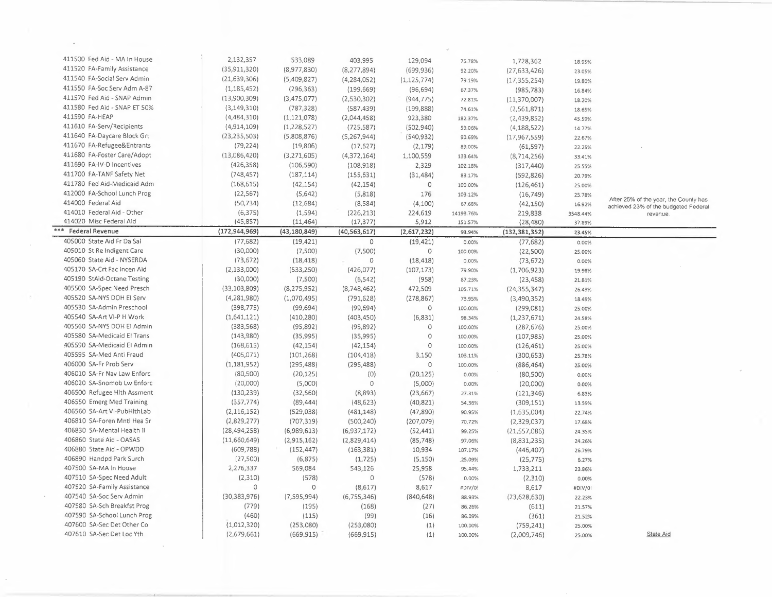| 411500 Fed Aid - MA In House | 2,132,357       | 533,089                   | 403,995        | 129,094       | 75.78%            | 1,728,362       | 18.95%   |                                       |
|------------------------------|-----------------|---------------------------|----------------|---------------|-------------------|-----------------|----------|---------------------------------------|
| 411520 FA-Family Assistance  | (35, 911, 320)  | (8,977,830)               | (8, 277, 894)  | (699, 936)    | 92.20%            | (27, 633, 426)  | 23.05%   |                                       |
| 411540 FA-Social Serv Admin  | (21, 639, 306)  | (5,409,827)               | (4,284,052)    | (1, 125, 774) | 79.19%            | (17, 355, 254)  | 19.80%   |                                       |
| 411550 FA-Soc Serv Adm A-87  | (1, 185, 452)   | (296, 363)                | (199, 669)     | (96, 694)     | 67.37%            | (985, 783)      |          |                                       |
| 411570 Fed Aid - SNAP Admin  | (13,900,309)    | (3,475,077)               | (2,530,302)    | (944, 775)    |                   |                 | 16.84%   |                                       |
| 411580 Fed Aid - SNAP ET 50% | (3, 149, 310)   | (787, 328)                | (587, 439)     | (199, 888)    | 72.81%<br>74.61%  | (11, 370, 007)  | 18.20%   |                                       |
| 411590 FA-HEAP               | (4,484,310)     | (1, 121, 078)             | (2,044,458)    | 923,380       |                   | (2,561,871)     | 18.65%   |                                       |
| 411610 FA-Serv/Recipients    | (4,914,109)     | (1,228,527)               | (725, 587)     | (502,940)     | 182.37%<br>59.06% | (2,439,852)     | 45.59%   |                                       |
| 411640 FA-Daycare Block Grt  | (23, 235, 503)  | (5,808,876)               | (5,267,944)    | (540, 932)    |                   | (4, 188, 522)   | 14.77%   |                                       |
| 411670 FA-Refugee&Entrants   | (79, 224)       | (19, 806)                 |                |               | 90.69%            | (17, 967, 559)  | 22.67%   |                                       |
| 411680 FA-Foster Care/Adopt  | (13,086,420)    |                           | (17,627)       | (2, 179)      | 89.00%            | (61, 597)       | 22.25%   |                                       |
| 411690 FA-IV-D Incentives    | (426, 358)      | (3,271,605)<br>(106, 590) | (4,372,164)    | 1,100,559     | 133.64%           | (8,714,256)     | 33.41%   |                                       |
| 411700 FA-TANF Safety Net    |                 |                           | (108, 918)     | 2,329         | 102.18%           | (317, 440)      | 25.55%   |                                       |
|                              | (748, 457)      | (187, 114)                | (155, 631)     | (31, 484)     | 83.17%            | (592, 826)      | 20.79%   |                                       |
| 411780 Fed Aid-Medicaid Adm  | (168, 615)      | (42, 154)                 | (42, 154)      | $\circ$       | 100.00%           | (126, 461)      | 25.00%   |                                       |
| 412000 FA-School Lunch Prog  | (22, 567)       | (5,642)                   | (5,818)        | 176           | 103.12%           | (16, 749)       | 25.78%   | After 25% of the year, the County has |
| 414000 Federal Aid           | (50, 734)       | (12, 684)                 | (8,584)        | (4,100)       | 67.68%            | (42, 150)       | 16.92%   | achieved 23% of the budgeted Federal  |
| 414010 Federal Aid - Other   | (6,375)         | (1, 594)                  | (226, 213)     | 224,619       | 14193.76%         | 219,838         | 3548.44% | revenue.                              |
| 414020 Misc Federal Aid      | (45, 857)       | (11, 464)                 | (17, 377)      | 5,912         | 151.57%           | (28, 480)       | 37.89%   |                                       |
| *** Federal Revenue          | (172, 944, 969) | (43, 180, 849)            | (40, 563, 617) | (2,617,232)   | 93.94%            | (132, 381, 352) | 23.45%   |                                       |
| 405000 State Aid Fr Da Sal   | (77, 682)       | (19, 421)                 | $\circ$        | (19, 421)     | 0.00%             | (77, 682)       | 0.00%    |                                       |
| 405010 St Re Indigent Care   | (30,000)        | (7,500)                   | (7,500)        | 0             | 100.00%           | (22,500)        | 25.00%   |                                       |
| 405060 State Aid - NYSERDA   | (73, 672)       | (18, 418)                 | $\mathbf 0$    | (18, 418)     | 0.00%             | (73, 672)       | 0.00%    |                                       |
| 405170 SA-Crt Fac Incen Aid  | (2, 133, 000)   | (533, 250)                | (426, 077)     | (107, 173)    | 79.90%            | (1,706,923)     | 19.98%   |                                       |
| 405190 StAid-Octane Testing  | (30,000)        | (7,500)                   | (6, 542)       | (958)         | 87.23%            | (23, 458)       | 21.81%   |                                       |
| 405500 SA-Spec Need Presch   | (33, 103, 809)  | (8, 275, 952)             | (8,748,462)    | 472,509       | 105.71%           | (24, 355, 347)  | 26.43%   |                                       |
| 405520 SA-NYS DOH EI Serv    | (4,281,980)     | (1,070,495)               | (791, 628)     | (278, 867)    | 73.95%            | (3,490,352)     | 18.49%   |                                       |
| 405530 SA-Admin Preschool    | (398, 775)      | (99, 694)                 | (99, 694)      | $\circ$       | 100.00%           | (299,081)       | 25.00%   |                                       |
| 405540 SA-Art VI-P H Work    | (1,641,121)     | (410, 280)                | (403, 450)     | (6, 831)      | 98.34%            | (1, 237, 671)   | 24.58%   |                                       |
| 405560 SA-NYS DOH El Admin   | (383, 568)      | (95, 892)                 | (95, 892)      | $\circ$       | 100.00%           | (287, 676)      | 25.00%   |                                       |
| 405580 SA-Medicaid El Trans  | (143,980)       | (35,995)                  | (35, 995)      | $\circ$       | 100.00%           | (107, 985)      | 25.00%   |                                       |
| 405590 SA-Medicaid El Admin  | (168, 615)      | (42, 154)                 | (42, 154)      | $\circ$       | 100.00%           | (126, 461)      | 25.00%   |                                       |
| 405595 SA-Med Anti Fraud     | (405, 071)      | (101, 268)                | (104, 418)     | 3,150         | 103.11%           | (300, 653)      | 25.78%   |                                       |
| 406000 SA-Fr Prob Serv       | (1, 181, 952)   | (295, 488)                | (295, 488)     | $\mathbb O$   | 100.00%           | (886, 464)      | 25.00%   |                                       |
| 406010 SA-Fr Nav Law Enforc  | (80, 500)       | (20, 125)                 | (0)            | (20, 125)     | 0.00%             | (80, 500)       | 0.00%    |                                       |
| 406020 SA-Snomob Lw Enforc   | (20,000)        | (5,000)                   | $\circ$        | (5,000)       | 0.00%             | (20,000)        | 0.00%    |                                       |
| 406500 Refugee Hith Assment  | (130, 239)      | (32, 560)                 | (8,893)        | (23, 667)     | 27.31%            | (121, 346)      | 6.83%    |                                       |
| 406550 Emerg Med Training    | (357, 774)      | (89, 444)                 | (48, 623)      | (40, 821)     | 54.36%            | (309, 151)      | 13.59%   |                                       |
| 406560 SA-Art VI-PubHlthLab  | (2, 116, 152)   | (529, 038)                | (481, 148)     | (47,890)      | 90.95%            | (1,635,004)     | 22.74%   |                                       |
| 406810 SA-Foren Mntl Hea Sr  | (2,829,277)     | (707, 319)                | (500, 240)     | (207, 079)    | 70.72%            | (2,329,037)     | 17.68%   |                                       |
| 406830 SA-Mental Health II   | (28, 494, 258)  | (6,989,613)               | (6,937,172)    | (52, 441)     | 99.25%            | (21, 557, 086)  | 24.35%   |                                       |
| 406860 State Aid - OASAS     | (11,660,649)    | (2,915,162)               | (2,829,414)    | (85, 748)     | 97.06%            | (8,831,235)     | 24.26%   |                                       |
| 406880 State Aid - OPWDD     | (609, 788)      | (152, 447)                | (163, 381)     | 10,934        | 107.17%           | (446, 407)      | 26.79%   |                                       |
| 406890 Handpd Park Surch     | (27, 500)       | (6, 875)                  | (1, 725)       | (5, 150)      | .25.09%           | (25, 775)       | 6.27%    |                                       |
| 407500 SA-MA In House        | 2,276,337       | 569,084                   | 543,126        | 25,958        | 95.44%            | 1,733,211       | 23.86%   |                                       |
| 407510 SA-Spec Need Adult    | (2,310)         | (578)                     | $\mathbf{0}$   | (578)         | 0.00%             | (2,310)         | 0.00%    |                                       |
| 407520 SA-Family Assistance  | 0               | $\circ$                   | (8,617)        | 8,617         | #DIV/0!           | 8,617           | #DIV/0!  |                                       |
| 407540 SA-Soc Serv Admin     | (30, 383, 976)  | (7,595,994)               | (6, 755, 346)  | (840, 648)    | 88.93%            | (23, 628, 630)  | 22.23%   |                                       |
| 407580 SA-Sch Breakfst Prog  | (779)           | (195)                     | (168)          | (27)          | 86.26%            | (611)           | 21.57%   |                                       |
| 407590 SA-School Lunch Prog  | (460)           | (115)                     | (99)           | (16)          | 86.09%            | (361)           | 21.52%   |                                       |
| 407600 SA-Sec Det Other Co   | (1,012,320)     | (253,080)                 | (253,080)      | (1)           | 100.00%           | (759, 241)      | 25.00%   |                                       |
| 407610 SA-Sec Det Loc Yth    | (2,679,661)     | (669, 915)                | (669, 915)     | (1)           | 100.00%           | (2,009,746)     | 25.00%   | State Aid                             |

 $\bar{\mathcal{A}}$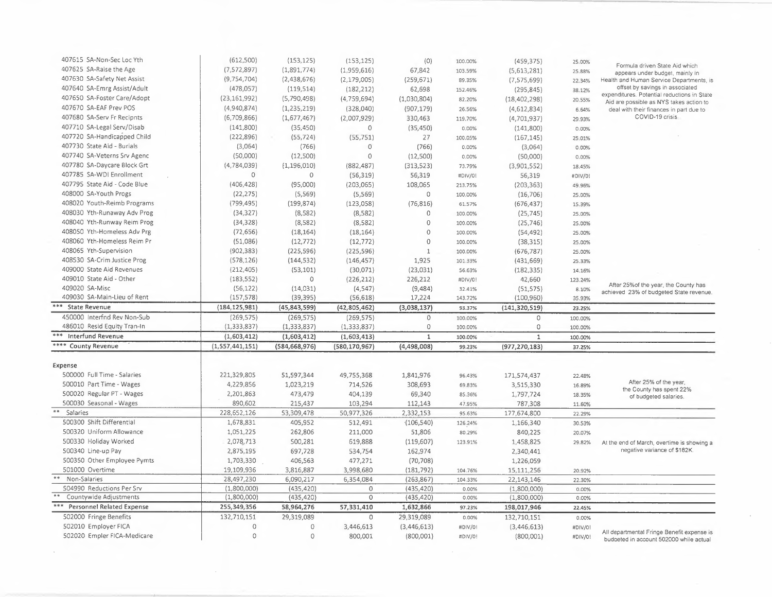| 407615 SA-Non-Sec Loc Yth              | (612,500)       | (153, 125)      | (153, 125)      | (0)          | 100.00% | (459, 375)      | 25.00%  |                                                                                       |
|----------------------------------------|-----------------|-----------------|-----------------|--------------|---------|-----------------|---------|---------------------------------------------------------------------------------------|
| 407625 SA-Raise the Age                | (7,572,897)     | (1,891,774)     | (1,959,616)     | 67,842       | 103.59% | (5,613,281)     | 25.88%  | Formula driven State Aid which                                                        |
| 407630 SA-Safety Net Assist            | (9,754,704)     | (2,438,676)     | (2, 179, 005)   | (259, 671)   | 89.35%  | (7, 575, 699)   | 22.34%  | appears under budget, mainly in<br>Health and Human Service Departments, is           |
| 407640 SA-Emrg Assist/Adult            | (478,057)       | (119, 514)      | (182, 212)      | 62,698       | 152.46% | (295, 845)      | 38.12%  | offset by savings in associated                                                       |
| 407650 SA-Foster Care/Adopt            | (23, 161, 992)  | (5,790,498)     | (4,759,694)     | (1,030,804)  | 82.20%  | (18, 402, 298)  | 20.55%  | expenditures. Potential reductions in State                                           |
| 407670 SA-EAF Prev POS                 | (4,940,874)     | (1, 235, 219)   | (328,040)       | (907, 179)   | 26.56%  | (4,612,834)     | 6.64%   | Aid are possible as NYS takes action to<br>deal with their finances in part due to    |
| 407680 SA-Serv Fr Recipnts             | (6,709,866)     | (1,677,467)     | (2,007,929)     | 330,463      | 119.70% |                 |         | COVID-19 crisis                                                                       |
| 407710 SA-Legal Serv/Disab             | (141,800)       |                 |                 |              |         | (4,701,937)     | 29.93%  |                                                                                       |
| 407720 SA-Handicapped Child            |                 | (35, 450)       | $\circ$         | (35, 450)    | 0.00%   | (141,800)       | 0.00%   |                                                                                       |
| 407730 State Aid - Burials             | (222, 896)      | (55, 724)       | (55, 751)       | 27           | 100.05% | (167, 145)      | 25.01%  |                                                                                       |
|                                        | (3,064)         | (766)           | $\circ$         | (766)        | 0.00%   | (3,064)         | 0.00%   |                                                                                       |
| 407740 SA-Veterns Srv Agenc            | (50,000)        | (12,500)        | $\circ$         | (12,500)     | 0.00%   | (50,000)        | 0.00%   |                                                                                       |
| 407780 SA-Daycare Block Grt            | (4,784,039)     | (1, 196, 010)   | (882, 487)      | (313, 523)   | 73.79%  | (3,901,552)     | 18.45%  |                                                                                       |
| 407785 SA-WDI Enrollment               | $\circ$         | $\circ$         | (56, 319)       | 56,319       | #DIV/0! | 56,319          | #DIV/0! |                                                                                       |
| 407795 State Aid - Code Blue           | (406, 428)      | (95,000)        | (203,065)       | 108,065      | 213.75% | (203, 363)      | 49.96%  |                                                                                       |
| 408000 SA-Youth Progs                  | (22, 275)       | (5,569)         | (5,569)         | $\circ$      | 100.00% | (16, 706)       | 25.00%  |                                                                                       |
| 408020 Youth-Reimb Programs            | (799, 495)      | (199, 874)      | (123,058)       | (76, 816)    | 61.57%  | (676, 437)      | 15.39%  |                                                                                       |
| 408030 Yth-Runaway Adv Prog            | (34, 327)       | (8,582)         | (8,582)         | $\circ$      | 100.00% | (25, 745)       | 25.00%  |                                                                                       |
| 408040 Yth-Runway Reim Prog            | (34, 328)       | (8,582)         | (8,582)         | $\mathbf{0}$ | 100.00% | (25, 746)       | 25.00%  |                                                                                       |
| 408050 Yth-Homeless Adv Prg            | (72, 656)       | (18, 164)       | (18, 164)       | $\mathbf{0}$ | 100.00% | (54, 492)       | 25.00%  |                                                                                       |
| 408060 Yth-Homeless Reim Pr            | (51,086)        | (12, 772)       | (12, 772)       | $\Omega$     | 100.00% | (38, 315)       | 25.00%  |                                                                                       |
| 408065 Yth-Supervision                 | (902, 383)      | (225, 596)      | (225, 596)      | $\mathbf{1}$ | 100.00% | (676, 787)      | 25.00%  |                                                                                       |
| 408530 SA-Crim Justice Prog            | (578, 126)      | (144, 532)      | (146, 457)      | 1,925        | 101.33% | (431, 669)      | 25.33%  |                                                                                       |
| 409000 State Aid Revenues              | (212, 405)      | (53, 101)       | (30,071)        | (23, 031)    | 56.63%  | (182, 335)      | 14.16%  |                                                                                       |
| 409010 State Aid - Other               | (183, 552)      | $\circ$         | (226, 212)      | 226,212      | #DIV/0! | 42,660          | 123.24% |                                                                                       |
| 409020 SA-Misc                         | (56, 122)       | (14, 031)       | (4, 547)        | (9,484)      | 32.41%  | (51, 575)       | 8.10%   | After 25% of the year, the County has                                                 |
| 409030 SA-Main-Lieu of Rent            | (157, 578)      | (39, 395)       | (56, 618)       | 17,224       | 143.72% | (100, 960)      | 35.93%  | achieved 23% of budgeted State revenue.                                               |
| *** State Revenue                      | (184, 125, 981) | (45, 843, 599)  | (42, 805, 462)  | (3,038,137)  | 93.37%  | (141, 320, 519) | 23.25%  |                                                                                       |
| 450000 Interfnd Rev Non-Sub            | (269, 575)      | (269, 575)      | (269, 575)      | $\circ$      | 100.00% | 0               | 100.00% |                                                                                       |
| 486010 Resid Equity Tran-In            | (1, 333, 837)   | (1,333,837)     | (1, 333, 837)   | 0            | 100.00% | 0               | 100.00% |                                                                                       |
| *** Interfund Revenue                  | (1,603,412)     | (1,603,412)     | (1,603,413)     | $\mathbf 1$  | 100.00% | $\mathbf{1}$    | 100.00% |                                                                                       |
| **** County Revenue                    | (1,557,441,151) | (584, 668, 976) | (580, 170, 967) | (4,498,008)  | 99.23%  | (977, 270, 183) |         |                                                                                       |
|                                        |                 |                 |                 |              |         |                 | 37.25%  |                                                                                       |
| Expense                                |                 |                 |                 |              |         |                 |         |                                                                                       |
| 500000 Full Time - Salaries            | 221,329,805     |                 |                 |              |         |                 |         |                                                                                       |
|                                        |                 | 51,597,344      | 49,755,368      | 1,841,976    | 96.43%  | 171,574,437     | 22.48%  | After 25% of the year,                                                                |
| 500010 Part Time - Wages               | 4,229,856       | 1,023,219       | 714,526         | 308,693      | 69.83%  | 3,515,330       | 16.89%  | the County has spent 22%                                                              |
| 500020 Regular PT - Wages              | 2,201,863       | 473,479         | 404,139         | 69,340       | 85.36%  | 1,797,724       | 18.35%  | of budgeted salaries.                                                                 |
| 500030 Seasonal - Wages<br>$\pm$ $\pm$ | 890,602         | 215,437         | 103,294         | 112,143      | 47.95%  | 787,308         | 11.60%  |                                                                                       |
| Salaries                               | 228,652,126     | 53,309,478      | 50,977,326      | 2,332,153    | 95.63%  | 177,674,800     | 22.29%  |                                                                                       |
| 500300 Shift Differential              | 1,678,831       | 405,952         | 512,491         | (106, 540)   | 126.24% | 1,166,340       | 30.53%  |                                                                                       |
| 500320 Uniform Allowance               | 1,051,225       | 262,806         | 211,000         | 51,806       | 80.29%  | 840,225         | 20.07%  |                                                                                       |
| 500330 Holiday Worked                  | 2,078,713       | 500,281         | 619,888         | (119,607)    | 123.91% | 1,458,825       | 29.82%  | At the end of March, overtime is showing a                                            |
| 500340 Line-up Pay                     | 2,875,195       | 697,728         | 534,754         | 162,974      |         | 2,340,441       |         | negative variance of \$182K.                                                          |
| 500350 Other Employee Pymts            | 1,703,330       | 406,563         | 477,271         | (70, 708)    |         | 1,226,059       |         |                                                                                       |
| 501000 Overtime                        | 19,109,936      | 3,816,887       | 3,998,680       | (181, 792)   | 104.76% | 15,111,256      | 20.92%  |                                                                                       |
| ** Non-Salaries                        | 28,497,230      | 6,090,217       | 6,354,084       | (263, 867)   | 104.33% | 22,143,146      | 22.30%  |                                                                                       |
| 504990 Reductions Per Srv              | (1,800,000)     | (435, 420)      | $\circ$         | (435, 420)   | 0.00%   | (1,800,000)     | 0.00%   |                                                                                       |
| **<br>Countywide Adjustments           | (1,800,000)     | (435, 420)      | $\circ$         | (435, 420)   | 0.00%   | (1,800,000)     | 0.00%   |                                                                                       |
| *** Personnel Related Expense          | 255,349,356     | 58,964,276      | 57,331,410      | 1,632,866    | 97.23%  | 198,017,946     | 22.45%  |                                                                                       |
| 502000 Fringe Benefits                 | 132,710,151     | 29,319,089      | $\circ$         | 29,319,089   | 0.00%   | 132,710,151     | 0.00%   |                                                                                       |
| 502010 Employer FICA                   | $\circ$         | 0               | 3,446,613       | (3,446,613)  | #DIV/0! | (3,446,613)     | #DIV/0! |                                                                                       |
| 502020 Empler FICA-Medicare            | $\circ$         | $\circ$         | 800,001         | (800,001)    | #DIV/0! | (800,001)       | #DIV/0! | All departmental Fringe Benefit expense is<br>budgeted in account 502000 while actual |
|                                        |                 |                 |                 |              |         |                 |         |                                                                                       |

 $\mathcal{A}^{\mathcal{A}}$  ,  $\mathcal{A}^{\mathcal{A}}$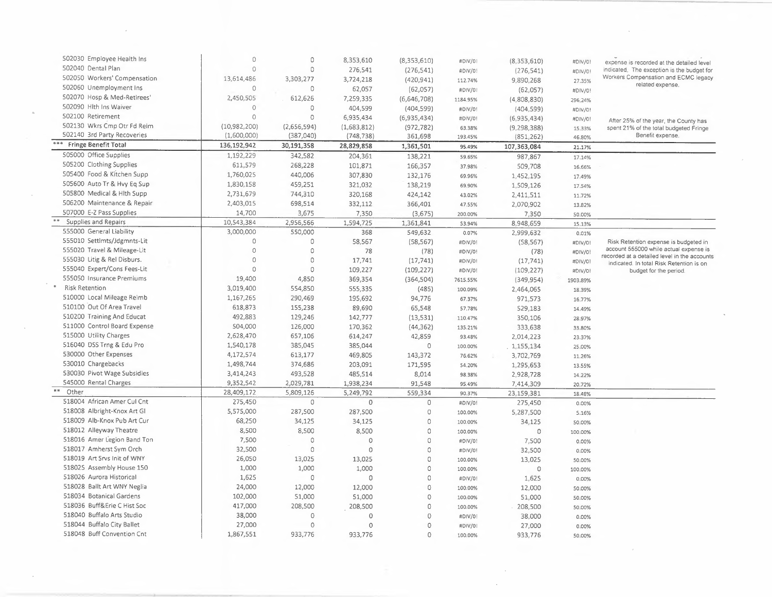| 502030 Employee Health Ins<br>502040 Dental Plan | $\Omega$<br>$\Omega$ | $\circ$      | 8,353,610   | (8,353,610) | #DIV/0!  | (8,353,610)   | #DIV/0!  | expense is recorded at the detailed level                                                |
|--------------------------------------------------|----------------------|--------------|-------------|-------------|----------|---------------|----------|------------------------------------------------------------------------------------------|
|                                                  |                      | $\circ$      | 276,541     | (276, 541)  | #DIV/0!  | (276, 541)    | #DIV/0!  | indicated. The exception is the budget for<br>Workers Compensation and ECMC legacy       |
| 502050 Workers' Compensation                     | 13,614,486           | 3,303,277    | 3,724,218   | (420, 941)  | 112.74%  | 9,890,268     | 27.35%   | related expense.                                                                         |
| 502060 Unemployment Ins                          | $\Omega$             | $\circ$      | 62,057      | (62,057)    | #DIV/0!  | (62,057)      | #DIV/0!  |                                                                                          |
| 502070 Hosp & Med-Retirees'                      | 2,450,505            | 612,626      | 7,259,335   | (6,646,708) | 1184.95% | (4,808,830)   | 296.24%  |                                                                                          |
| 502090 Hith Ins Waiver                           | $\theta$             | $\circ$      | 404,599     | (404, 599)  | #DIV/0!  | (404, 599)    | #DIV/0!  |                                                                                          |
| 502100 Retirement                                | $\Omega$             | $\circ$      | 6,935,434   | (6,935,434) | #DIV/0!  | (6,935,434)   | #DIV/0!  | After 25% of the year, the County has                                                    |
| 502130 Wkrs Cmp Otr Fd Reim                      | (10,982,200)         | (2,656,594)  | (1,683,812) | (972, 782)  | 63.38%   | (9, 298, 388) | 15.33%   | spent 21% of the total budgeted Fringe                                                   |
| 502140 3rd Party Recoveries                      | (1,600,000)          | (387,040)    | (748, 738)  | 361,698     | 193.45%  | (851, 262)    | 46.80%   | Benefit expense.                                                                         |
| *** Fringe Benefit Total                         | 136,192,942          | 30,191,358   | 28,829,858  | 1,361,501   | 95.49%   | 107,363,084   | 21.17%   |                                                                                          |
| 505000 Office Supplies                           | 1,192,229            | 342,582      | 204,361     | 138,221     | 59.65%   | 987,867       | 17.14%   |                                                                                          |
| 505200 Clothing Supplies                         | 611,579              | 268,228      | 101,871     | 166,357     | 37.98%   | 509,708       | 16.66%   |                                                                                          |
| 505400 Food & Kitchen Supp                       | 1,760,025            | 440,006      | 307,830     | 132,176     | 69.96%   | 1,452,195     | 17.49%   |                                                                                          |
| 505600 Auto Tr & Hvy Eq Sup                      | 1,830,158            | 459,251      | 321,032     | 138,219     | 69.90%   | 1,509,126     | 17.54%   |                                                                                          |
| 505800 Medical & Hlth Supp                       | 2,731,679            | 744,310      | 320,168     | 424,142     | 43.02%   | 2,411,511     | 11.72%   |                                                                                          |
| 506200 Maintenance & Repair                      | 2,403,015            | 698,514      | 332,112     | 366,401     | 47.55%   | 2,070,902     | 13.82%   |                                                                                          |
| 507000 E-Z Pass Supplies                         | 14,700               | 3,675        | 7,350       | (3,675)     | 200.00%  | 7,350         | 50.00%   |                                                                                          |
| Supplies and Repairs                             | 10,543,384           | 2,956,566    | 1,594,725   | 1,361,841   | 53.94%   | 8,948,659     | 15.13%   |                                                                                          |
| 555000 General Liability                         | 3,000,000            | 550,000      | 368         | 549,632     | 0.07%    | 2,999,632     | 0.01%    |                                                                                          |
| 555010 Settlmts/Jdgmnts-Lit                      | $\Omega$             | 0            | 58,567      | (58, 567)   | #DIV/0!  | (58, 567)     | #DIV/0!  | Risk Retention expense is budgeted in                                                    |
| 555020 Travel & Mileage-Lit                      | $\Omega$             | $\circ$      | 78          | (78)        | #DIV/0!  | (78)          | #DIV/0!  | account 555000 while actual expense is                                                   |
| 555030 Litig & Rel Disburs.                      | $\Omega$             | $\circ$      | 17,741      | (17, 741)   | #DIV/0!  | (17, 741)     | #DIV/01  | recorded at a detailed level in the accounts<br>indicated. In total Risk Retention is on |
| 555040 Expert/Cons Fees-Lit                      | $\Omega$             | $\circ$      | 109,227     | (109, 227)  | #DIV/0!  | (109, 227)    | #DIV/0!  | budget for the period                                                                    |
| 555050 Insurance Premiums                        | 19,400               | 4,850        | 369,354     | (364, 504)  | 7615.55% | (349, 954)    | 1903.89% |                                                                                          |
| <b>Risk Retention</b>                            | 3,019,400            | 554,850      | 555,335     | (485)       | 100.09%  | 2,464,065     | 18.39%   |                                                                                          |
| 510000 Local Mileage Reimb                       | 1,167,265            | 290,469      | 195,692     | 94,776      | 67.37%   | 971,573       | 16.77%   |                                                                                          |
| 510100 Out Of Area Travel                        | 618,873              | 155,238      | 89,690      | 65,548      | 57,78%   | 529,183       | 14.49%   |                                                                                          |
| 510200 Training And Educat                       | 492,883              | 129,246      | 142,777     | (13,531)    | 110.47%  | 350,106       | 28.97%   |                                                                                          |
| 511000 Control Board Expense                     | 504,000              | 126,000      | 170,362     | (44, 362)   | 135.21%  | 333,638       | 33.80%   |                                                                                          |
| 515000 Utility Charges                           | 2,628,470            | 657,106      | 614,247     | 42,859      | 93.48%   | 2,014,223     | 23.37%   |                                                                                          |
| 516040 DSS Trng & Edu Pro                        | 1,540,178            | 385,045      | 385,044     | $\circ$     | 100.00%  | 1,155,134     | 25.00%   |                                                                                          |
| 530000 Other Expenses                            | 4,172,574            | 613,177      | 469,805     | 143,372     | 76.62%   | 3,702,769     | 11.26%   |                                                                                          |
| 530010 Chargebacks                               | 1,498,744            | 374,686      | 203,091     | 171,595     | 54.20%   | 1,295,653     | 13.55%   |                                                                                          |
| 530030 Pivot Wage Subsidies                      | 3,414,243            | 493,528      | 485,514     | 8,014       | 98.38%   | 2,928,728     | 14.22%   |                                                                                          |
| 545000 Rental Charges                            | 9,352,542            | 2,029,781    | 1,938,234   | 91,548      | 95.49%   | 7,414,309     | 20.72%   |                                                                                          |
| **<br>Other                                      | 28,409,172           | 5,809,126    | 5,249,792   | 559,334     | 90.37%   | 23,159,381    | 18.48%   |                                                                                          |
| 518004 African Amer Cul Cnt                      | 275,450              | $\mathbf{0}$ | $\Omega$    | $\circ$     | #DIV/0!  | 275,450       | 0.00%    |                                                                                          |
| 518008 Albright-Knox Art Gl                      | 5,575,000            | 287,500      | 287,500     | $\circ$     | 100.00%  | 5,287,500     | 5.16%    |                                                                                          |
| 518009 Alb-Knox Pub Art Cur                      | 68,250               | 34,125       | 34,125      | $\circ$     | 100.00%  | 34,125        | 50.00%   |                                                                                          |
| 518012 Alleyway Theatre                          | 8,500                | 8,500        | 8,500       | $\Omega$    | 100.00%  | $\circ$       | 100.00%  |                                                                                          |
| 518016 Amer Legion Band Ton                      | 7,500                | 0            | $\Omega$    | $\circ$     | #DIV/0!  | 7,500         | 0.00%    |                                                                                          |
| 518017 Amherst Sym Orch                          | 32,500               | $\Omega$     | $\Omega$    | $\Omega$    | #DIV/0!  | 32,500        | 0.00%    |                                                                                          |
| 518019 Art Srvs Init of WNY                      | 26,050               | 13,025       | 13,025      | $\Omega$    | 100.00%  | 13,025        | 50.00%   |                                                                                          |
| 518025 Assembly House 150                        | 1,000                | 1,000        | 1,000       | $\Omega$    | 100.00%  | $\circ$       | 100.00%  |                                                                                          |
| 518026 Aurora Historical                         | 1,625                | $\circ$      | $\Omega$    | $\circ$     | #DIV/0!  | 1,625         | 0.00%    |                                                                                          |
| 518028 Ballt Art WNY Neglia                      | 24,000               | 12,000       | 12,000      | $\circ$     | 100.00%  | 12,000        | 50.00%   |                                                                                          |
| 518034 Botanical Gardens                         | 102,000              | 51,000       | 51,000      | $\circ$     | 100.00%  | 51,000        | 50.00%   |                                                                                          |
| 518036 Buff&Erie C Hist Soc                      | 417,000              | 208,500      | 208,500     | 0           | 100.00%  | 208,500       | 50.00%   |                                                                                          |
| 518040 Buffalo Arts Studio                       | 38,000               | $\circ$      | $\Omega$    | $\mathbf 0$ | #DIV/0!  | 38,000        | 0.00%    |                                                                                          |
| 518044 Buffalo City Ballet                       | 27,000               | $\circ$      | $\Omega$    | $\circ$     | #DIV/01  | 27,000        | 0.00%    |                                                                                          |
| 518048 Buff Convention Cnt                       | 1,867,551            | 933,776      | 933,776     | $\Omega$    | 100.00%  | 933,776       | 50.00%   |                                                                                          |
|                                                  |                      |              |             |             |          |               |          |                                                                                          |

 $\sim 10^{-1}$ 

 $\sim$ 

 $\Delta \sim 10^{11}$  m  $^{-1}$  m  $^{-1}$ 

 $\mathcal{L}(\mathcal{L})$  and  $\mathcal{L}(\mathcal{L})$ 

 $\frac{1}{2} \frac{d^2}{dt^2}$ 

 $\bar{\mathcal{A}}$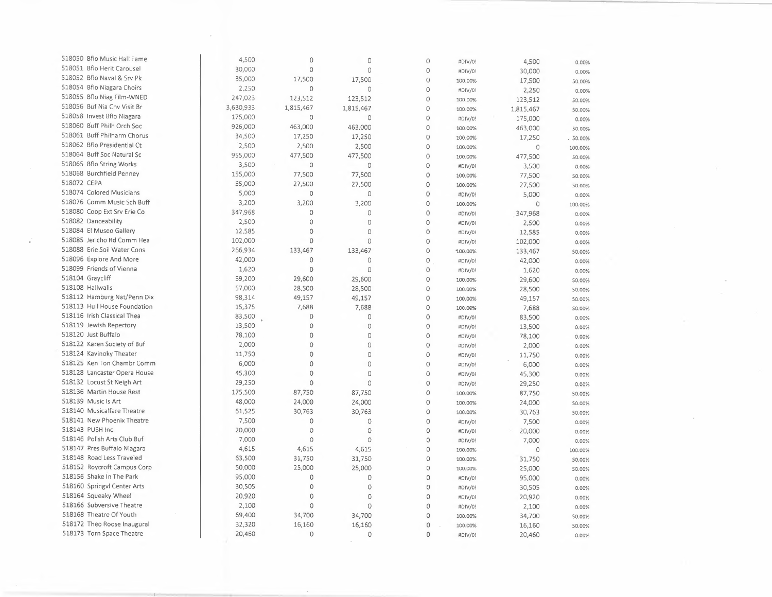| 518050 Bflo Music Hall Fame  | 4,500            | $\Omega$       | $\circ$            | $\circ$            | #DIV/0! | 4,500     | 0.00%   |
|------------------------------|------------------|----------------|--------------------|--------------------|---------|-----------|---------|
| 518051 Bflo Herit Carousel   | 30,000           | $\circ$        | $\theta$           | 0                  | #DIV/0! | 30,000    | 0.00%   |
| 518052 Bflo Naval & Srv Pk   | 35,000           | 17,500         | 17,500             | $\circ$            | 100.00% | 17,500    | 50.00%  |
| 518054 Bflo Niagara Choirs   | 2,250            | $\circ$        | $\overline{0}$     | $\Omega$           | #DIV/0! | 2,250     | 0.00%   |
| 518055 Bflo Niag Film-WNED   | 247,023          | 123,512        | 123,512            | $\circ$            | 100.00% | 123,512   | 50.00%  |
| 518056 Buf Nia Cnv Visit Br  | 3,630,933        | 1,815,467      | 1,815,467          | $\circ$            | 100.00% | 1,815,467 | 50.00%  |
| 518058 Invest Bflo Niagara   | 175,000          | $\circ$        | $\theta$           | $\circ$            | #DIV/0! | 175,000   | 0.00%   |
| 518060 Buff Philh Orch Soc   | 926,000          | 463,000        | 463,000            | 0                  | 100.00% | 463,000   | 50.00%  |
| 518061 Buff Philharm Chorus  | 34,500           | 17,250         | 17,250             | $\circ$            | 100.00% | 17,250    | 50.00%  |
| 518062 Bflo Presidential Ct  | 2,500            | 2,500          | 2,500              | $\circ$            | 100.00% | $\circ$   | 100.00% |
| 518064 Buff Soc Natural Sc   | 955,000          | 477,500        | 477,500            | $\circ$            | 100.00% | 477,500   | 50.00%  |
| 518065 Bflo String Works     | 3,500            | $\circ$        | $\circ$            | $\circ$            | #DIV/0! | 3,500     | 0.00%   |
| 518068 Burchfield Penney     | 155,000          | 77,500         | 77,500             | 0                  | 100.00% | 77,500    | 50.00%  |
| 518072 CEPA                  | 55,000           | 27,500         | 27,500             | $\circ$            | 100.00% | 27,500    | 50.00%  |
| 518074 Colored Musicians     | 5,000            | $\circ$        | $\mathbf{0}$       | $\overline{O}$     | #DIV/0! | 5,000     | 0.00%   |
| 518076 Comm Music Sch Buff   | 3,200            | 3,200          | 3,200              | $\mathbf{0}$       | 100.00% | $\circ$   | 100.00% |
| 518080 Coop Ext Srv Erie Co  | 347,968          | $\circ$        | $\circ$            | $\circ$            | #DIV/0! | 347,968   | 0.00%   |
| 518082 Danceability          | 2,500            | $\circ$        | $\circ$            | $\circ$            | #DIV/0! | 2,500     | 0.00%   |
| 518084 El Museo Gallery      | 12,585           | $\circ$        | $\Omega$           | $\circ$            | #DIV/0! | 12,585    | 0.00%   |
| 518085 Jericho Rd Comm Hea   | 102,000          | $\overline{0}$ | $\mathbf{0}$       | 0                  | #DIV/0! | 102,000   |         |
| 518088 Erie Soil Water Cons  | 266,934          | 133,467        | 133,467            | $\circ$            | 100.00% | 133,467   | 0.00%   |
| 518096 Explore And More      | 42,000           | $\circ$        | $\circ$            | $\circ$            |         |           | 50.00%  |
| 518099 Friends of Vienna     | 1,620            | $\circ$        | $\mathbf{0}$       | $\mathbf 0$        | #DIV/0! | 42,000    | 0.00%   |
| 518104 Graycliff             | 59,200           | 29,600         | 29,600             | $\mathbf 0$        | #DIV/0! | 1,620     | 0.00%   |
| 518108 Hallwalls             | 57,000           | 28,500         |                    |                    | 100.00% | 29,600    | 50.00%  |
| 518112 Hamburg Nat/Penn Dix  | 98,314           | 49,157         | 28,500             | $\circ$<br>$\circ$ | 100.00% | 28,500    | 50.00%  |
| 518113 Hull House Foundation | 15,375           | 7,688          | 49,157<br>7,688    | $\circ$            | 100.00% | 49,157    | 50.00%  |
| 518116 Irish Classical Thea  |                  | $\mathbf{0}$   |                    |                    | 100.00% | 7,688     | 50.00%  |
| 518119 Jewish Repertory      | 83,500<br>13,500 | $\circ$        | $\circ$            | $\mathbf 0$        | #DIV/0! | 83,500    | 0.00%   |
| 518120 Just Buffalo          |                  | $\circ$        | $\circ$<br>$\circ$ | $\theta$           | #DIV/0! | 13,500    | 0.00%   |
|                              | 78,100           |                |                    | $\circ$            | #DIV/0! | 78,100    | 0.00%   |
| 518122 Karen Society of Buf  | 2,000            | $\circ$        | $\Omega$           | $\mathbf 0$        | #DIV/0! | 2,000     | 0.00%   |
| 518124 Kavinoky Theater      | 11,750           | $\circ$        | $\mathbf 0$        | $\circ$            | #DIV/0! | 11,750    | 0.00%   |
| 518125 Ken Ton Chambr Comm   | 6,000            | $\circ$        | $\circ$            | $\mathbf 0$        | #DIV/0! | 6,000     | 0.00%   |
| 518128 Lancaster Opera House | 45,300           | $\Omega$       | $\Omega$           | $\circ$            | #DIV/01 | 45,300    | 0.00%   |
| 518132 Locust St Neigh Art   | 29,250           | $\theta$       | $\Omega$           | $\circ$            | #DIV/0! | 29,250    | 0.00%   |
| 518136 Martin House Rest     | 175,500          | 87,750         | 87,750             | $\overline{O}$     | 100.00% | 87,750    | 50.00%  |
| 518139 Music Is Art          | 48,000           | 24,000         | 24,000             | $\mathbf 0$        | 100.00% | 24,000    | 50.00%  |
| 518140 Musicalfare Theatre   | 61,525           | 30,763         | 30,763             | $\circ$            | 100.00% | 30,763    | 50.00%  |
| 518141 New Phoenix Theatre   | 7,500            | 0              | $\circ$            | $\circ$            | #DIV/0! | 7,500     | 0.00%   |
| 518143 PUSH Inc.             | 20,000           | $\circ$        | $\circ$            | $\mathbf 0$        | #DIV/0! | 20,000    | 0.00%   |
| 518146 Polish Arts Club Buf  | 7,000            | 0              | $\circ$            | $\circ$            | #DIV/0! | 7,000     | 0.00%   |
| 518147 Pres Buffalo Niagara  | 4,615            | 4,615          | 4,615              | 0                  | 100.00% | $\circ$   | 100.00% |
| 518148 Road Less Traveled    | 63,500           | 31,750         | 31,750             | 0                  | 100.00% | 31,750    | 50.00%  |
| 518152 Roycroft Campus Corp  | 50,000           | 25,000         | 25,000             | $\circ$            | 100.00% | 25,000    | 50.00%  |
| 518156 Shake In The Park     | 95,000           | 0              | $\circ$            | $\circ$            | #DIV/0! | 95,000    | 0.00%   |
| 518160 Springvl Center Arts  | 30,505           | $\mathbf 0$    | $\mathbf 0$        | $\mathbf 0$        | #DIV/0! | 30,505    | 0.00%   |
| 518164 Squeaky Wheel         | 20,920           | 0              | $\circ$            | $\circ$            | #DIV/0! | 20,920    | 0.00%   |
| 518166 Subversive Theatre    | 2,100            | 0              | $\overline{0}$     | $\circ$            | #DIV/0! | 2,100     | 0.00%   |
| 518168 Theatre Of Youth      | 69,400           | 34,700         | 34,700             | $\circ$            | 100.00% | 34,700    | 50.00%  |
| 518172 Theo Roose Inaugural  | 32,320           | 16,160         | 16,160             | $\mathbf 0$        | 100.00% | 16,160    | 50.00%  |
| 518173 Torn Space Theatre    | 20,460           | 0              | $\circ$            | $\mathbf 0$        | #DIV/0! | 20,460    | 0.00%   |

 $\left\langle \frac{1}{2} \right\rangle$ 

 $\bar{z}$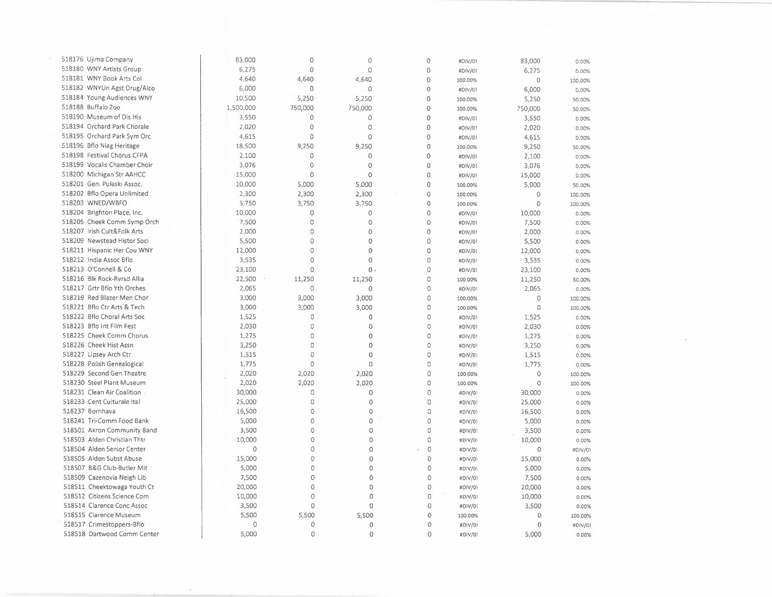| 518176 Ujima Company         | 83,000    | $\mathbf{0}$   | 0              | $\circ$        | #DIV/0! | 83,000         | 0.00%   |
|------------------------------|-----------|----------------|----------------|----------------|---------|----------------|---------|
| 518180 WNY Artists Group     | 6,275     | $\theta$       | 0              | 0              | #DIV/0! | 6,275          | 0.00%   |
| 518181 WNY Book Arts Col     | 4,640     | 4,640          | 4,640          | 0              | 100.00% | $\theta$       | 100.00% |
| 518182 WNYUn Agst Drug/Alco  | 6,000     | $\circ$        | 0              | $\overline{0}$ | #DIV/0! | 6,000          | 0.00%   |
| 518184 Young Audiences WNY   | 10,500    | 5,250          | 5,250          | 0              | 100.00% | 5,250          | 50.00%  |
| 518188 Buffalo Zoo           | 1,500,000 | 750,000        | 750,000        | $\theta$       | 100.00% | 750,000        | 50.00%  |
| 518190 Museum of Dis His     | 3,550     | $\overline{0}$ | 0              | 0              | #DIV/01 | 3,550          | 0.00%   |
| 518194 Orchard Park Chorale  | 2,020     | 0              | $\circ$        | $\mathbf 0$    | #DIV/0! | 2,020          | 0.00%   |
| 518195 Orchard Park Sym Orc  | 4,615     | 0              | 0              | $\mathbf 0$    | #DIV/0! | 4,615          | 0.00%   |
| 518196 Bflo Niag Heritage    | 18,500    | 9,250          | 9,250          | 0              | 100.00% | 9,250          | 50.00%  |
| 518198 Festival Chorus CFPA  | 2,100     | $\circ$        | $\circ$        | 0              | #DIV/0! | 2,100          | 0.00%   |
| 518199 Vocalis Chamber Choir | 3,076     | $\mathbf{0}$   | $\mathbf 0$    | 0              | #DIV/01 | 3,076          | 0.00%   |
| 518200 Michigan Str AAHCC    | 15,000    | $\mathbf 0$    | $\mathbf 0$    | $\overline{0}$ | #DIV/0! | 15,000         | 0.00%   |
| 518201 Gen. Pulaski Assoc.   | 10,000    | 5.000          | 5,000          | 0              | 100.00% | 5,000          |         |
| 518202 Bflo Opera Unlimited  | 2,300     | 2,300          | 2,300          | 0              | 100.00% | 0              | 50.00%  |
| 518203 WNED/WBFO             | 3,750     | 3,750          | 3,750          | $\mathbf 0$    |         | 0              | 100.00% |
| 518204 Brighton Place, Inc.  | 10,000    | 0              | 0              | $\mathbf{0}$   | 100.00% |                | 100.00% |
| 518205 Cheek Comm Symp Orch  | 7,500     | 0              | 0              | $\circ$        | #DIV/0! | 10,000         | 0.00%   |
| 518207 Irish Cult&Folk Arts  | 2,000     | 0              | $\circ$        | 0              | #DIV/0! | 7,500          | 0.00%   |
| 518209 Newstead Histor Soci  | 5,500     | 0              | $\circ$        | $\mathbf 0$    | #DIV/0! | 2,000          | 0.00%   |
|                              |           | 0              |                |                | #DIV/0! | 5,500          | 0.00%   |
| 518211 Hispanic Her Cou WNY  | 12,000    |                | 0              | $\mathbf 0$    | #DIV/01 | 12,000         | 0.00%   |
| 518212 India Assoc Bflo      | 3,535     | 0              | $\circ$        | 0              | #DIV/0! | 3,535          | 0.00%   |
| 518213 O'Connell & Co        | 23,100    | 0              | $0 -$          | 0              | #DIV/0! | 23,100         | 0.00%   |
| 518216 Blk Rock-Ryrsd Allia  | 22,500    | 11,250         | 11,250         | $\circ$        | 100.00% | 11,250         | 50.00%  |
| 518217 Grtr Bflo Yth Orches  | 2,065     | $\mathbf 0$    | $\circ$        | 0              | #DIV/0! | 2,065          | 0.00%   |
| 518219 Red Blazer Men Chor   | 3,000     | 3,000          | 3,000          | 0              | 100.00% | 0              | 100.00% |
| 518221 Bflo Ctr Arts & Tech  | 3,000     | 3,000          | 3,000          | 0              | 100.00% | 0              | 100.00% |
| 518222 Bflo Choral Arts Soc  | 1,525     | 0              | 0              | $\overline{0}$ | #DIV/0! | 1,525          | 0.00%   |
| 518223 Bflo Int Film Fest    | 2,030     | 0              | $\Omega$       | $\mathbf 0$    | #DIV/0! | 2,030          | 0.00%   |
| 518225 Cheek Comm Chorus     | 1,275     | 0              | $\circ$        | 0              | #DIV/0! | 1,275          | 0.00%   |
| 518226 Cheek Hist Assn       | 3,250     | 0              | $\mathbf{0}$   | $\Omega$       | #DIV/0! | 3,250          | 0.00%   |
| 518227 Lipsey Arch Ctr       | 1,515     | 0              | 0              | 0              | #DIV/0! | 1,515          | 0.00%   |
| 518228 Polish Genealogical   | 1,775     | $\circ$        | $\circ$        | 0              | #DIV/01 | 1,775          | 0.00%   |
| 518229 Second Gen Theatre    | 2,020     | 2,020          | 2,020          | $\circ$        | 100.00% | $\theta$       | 100.00% |
| 518230 Steel Plant Museum    | 2,020     | 2,020          | 2,020          | $\circ$        | 100.00% | $\circ$        | 100.00% |
| 518231 Clean Air Coalition   | 30,000    | 0              | 0              | $\mathbb O$    | #DIV/0! | 30,000         | 0.00%   |
| 518233 Cent Culturale Ital   | 25,000    | 0              | 0              | $\circ$        | #DIV/0! | 25,000         | 0.00%   |
| 518237 Bornhava              | 16,500    | 0              | 0              | 0              | #DIV/0! | 16,500         | 0.00%   |
| 518241 Tri-Comm Food Bank    | 5,000     | 0              | $\mathbf 0$    | $\Omega$       | #DIV/0! | 5,000          | 0.00%   |
| 518501 Akron Community Band  | 3,500     | 0              | 0              | $\overline{0}$ | #DIV/0! | 3,500          | 0.00%   |
| 518503 Alden Christian Thtr  | 10,000    | 0              | 0              | 0              | #DIV/01 | 10,000         | 0.00%   |
| 518504 Alden Senior Center   | $\circ$   | $\circ$        | 0              | $\mathbf 0$    | #DIV/0! | $\mathbf{0}$   | #DIV/0! |
| 518505 Alden Subst Abuse     | 15,000    | 0              | 0              | 0              | #DIV/0! | 15,000         | 0.00%   |
| 518507 B&G Club-Butler Mit   | 5,000     | 0              | 0              | 0              | #DIV/0! | 5,000          | 0.00%   |
| 518509 Cazenovia Neigh Lib   | 7,500     | $\mathbf{0}$   | $\mathbf 0$    | $\mathbf 0$    | #DIV/0! | 7,500          | 0.00%   |
| 518511 Cheektowaga Youth Ct  | 20,000    | $\mathbf{0}$   | 0              | 0              | #DIV/0! | 20,000         | 0.00%   |
| 518512 Citizens Science Com  | 10,000    | $\circ$        | $\overline{0}$ | 0              | #DIV/0! | 10,000         | 0.00%   |
| 518514 Clarence Conc Assoc   | 3,500     | $\circ$        | 0              | $\circ$        | #DIV/0! | 3,500          | 0.00%   |
| 518515 Clarence Museum       | 5,500     | 5,500          | 5,500          | 0              | 100.00% | $\overline{0}$ | 100.00% |
| 518517 Crimestoppers-Bflo    | $\circ$   | $\circ$        | $\circ$        | 0              | #DIV/0! | $\overline{0}$ | #DIV/0! |
| 518518 Dartwood Comm Center  | 5,000     | $\Omega$       | $\mathbf{O}$   | $\sigma$       | #DIV/0! | 5,000          | 0.00%   |
|                              |           |                |                |                |         |                |         |

 $\mathcal{L}_{\mathcal{F}}$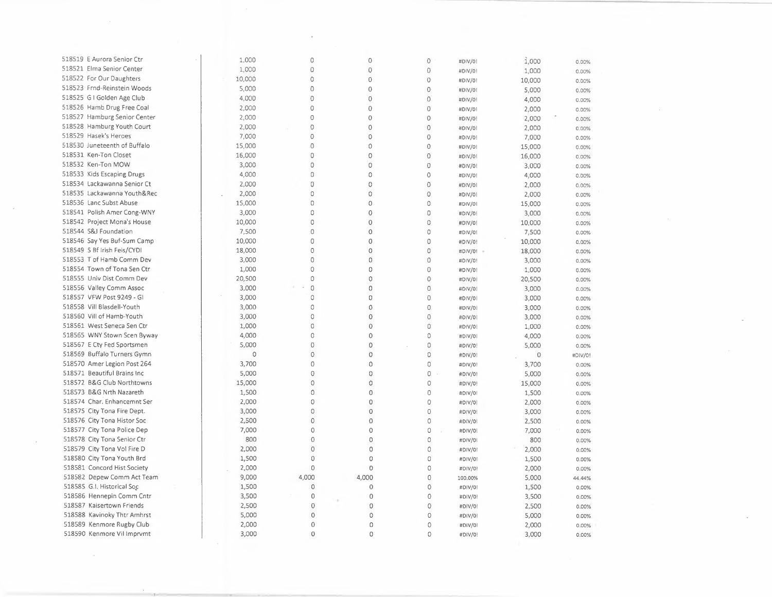| 518519 E Aurora Senior Ctr   | 1,000  | 0              | $\circ$        | 0              | #DIV/0! | 1,000  | 0.00%   |
|------------------------------|--------|----------------|----------------|----------------|---------|--------|---------|
| 518521 Elma Senior Center    | 1,000  | 0              | $\circ$        | $\mathbf 0$    | #DIV/0! | 1,000  | 0.00%   |
| 518522 For Our Daughters     | 10,000 | 0              | $\mathbf 0$    | $\circ$        | #DIV/0! | 10,000 | 0.00%   |
| 518523 Frnd-Reinstein Woods  | 5,000  | 0              | 0              | $\circ$        | #DIV/0! | 5,000  | 0.00%   |
| 518525 G I Golden Age Club   | 4,000  | $\mathbf{0}$   | $\overline{0}$ | $\mathbf 0$    | #DIV/0! | 4,000  | 0.00%   |
| 518526 Hamb Drug Free Coal   | 2,000  | 0              | $\theta$       | $\mathbf 0$    | #DIV/01 | 2,000  | 0.00%   |
| 518527 Hamburg Senior Center | 2,000  | 0              | $\overline{O}$ | $\overline{0}$ | #DIV/0! | 2,000  | 0.00%   |
| 518528 Hamburg Youth Court   | 2,000  | $\circ$        | $\circ$        | $\circ$        | #DIV/0! | 2,000  | 0.00%   |
| 518529 Hasek's Heroes        | 7,000  | $\circ$        | 0              | $\circ$        | #DIV/0! | 7,000  | 0.00%   |
| 518530 Juneteenth of Buffalo | 15,000 | 0              | 0              | $\circ$        | #DIV/0! | 15,000 | 0.00%   |
| 518531 Ken-Ton Closet        | 16,000 | 0              | 0              | $\circ$        | #DIV/0! | 16,000 | 0.00%   |
| 518532 Ken-Ton MOW           | 3,000  | 0              | Ō              | $\circ$        | #DIV/0! | 3,000  | 0.00%   |
| 518533 Kids Escaping Drugs   | 4,000  | 0              | 0              | $\circ$        | #DIV/0! | 4,000  |         |
| 518534 Lackawanna Senior Ct  | 2,000  | 0              | 0              | $\circ$        | #DIV/0! | 2,000  | 0.00%   |
| 518535 Lackawanna Youth&Rec  | 2,000  | 0              | 0              | $\mathcal O$   |         |        | 0.00%   |
| 518536 Lanc Subst Abuse      | 15,000 | $\Omega$       | $\circ$        | 0              | #DIV/0! | 2,000  | 0.00%   |
| 518541 Polish Amer Cong-WNY  | 3,000  | O              | 0              | $\circ$        | #DIV/0! | 15,000 | 0.00%   |
| 518542 Project Mona's House  | 10,000 | $\Omega$       | $\Omega$       | $\circ$        | #DIV/0! | 3,000  | 0.00%   |
| 518544 S&J Foundation        |        | $\circ$        | Ó              |                | #DIV/0! | 10,000 | 0.00%   |
|                              | 7,500  |                |                | $\circ$        | #DIV/0! | 7,500  | 0.00%   |
| 518546 Say Yes Buf-Sum Camp  | 10,000 | $\circ$        | 0              | 0              | #DIV/0! | 10,000 | 0.00%   |
| 518549 S Bf Irish Feis/CYDI  | 18,000 | $\overline{O}$ | 0              | 0              | #DIV/0! | 18,000 | 0.00%   |
| 518553 T of Hamb Comm Dev    | 3,000  | $\Omega$       | 0              | $\circ$        | #DIV/0! | 3,000  | 0.00%   |
| 518554 Town of Tona Sen Ctr  | 1,000  | $\mathbb O$    | 0              | $\circ$        | #DIV/0! | 1,000  | 0.00%   |
| 518555 Univ Dist Comm Dev    | 20,500 | $\Omega$       | 0              | $\Omega$       | #DIV/0! | 20,500 | 0.00%   |
| 518556 Valley Comm Assoc     | 3,000  | 0              | 0              | 0              | #DIV/0! | 3,000  | 0.00%   |
| 518557 VFW Post 9249 - GI    | 3,000  | 0              | 0              | $\mathbf{0}$   | #DIV/01 | 3,000  | 0.00%   |
| 518558 Vill Blasdell-Youth   | 3,000  | $\Omega$       | $\circ$        | $\circ$        | #DIV/01 | 3,000  | 0.00%   |
| 518560 Vill of Hamb-Youth    | 3,000  | $\Omega$       | $\circ$        | $\circ$        | #DIV/0! | 3,000  | 0.00%   |
| 518561 West Seneca Sen Ctr   | 1,000  | 0              | $\circ$        | $\mathbf 0$    | #DIV/0! | 1,000  | 0.00%   |
| 518565 WNY Stown Scen Byway  | 4,000  | 0              | 0              | $\mathbb O$    | #DIV/0! | 4,000  | 0.00%   |
| 518567 E Cty Fed Sportsmen   | 5,000  | 0              | $\circ$        | $\circ$        | #DIV/0! | 5,000  | 0.00%   |
| 518569 Buffalo Turners Gymn  | 0      | 0              | $\mathbf 0$    | $\circ$        | #DIV/0! | 0      | #DIV/0! |
| 518570 Amer Legion Post 264  | 3,700  | 0              | 0              | $\circ$        | #DIV/0! | 3,700  | 0.00%   |
| 518571 Beautiful Brains Inc  | 5,000  | 0              | $\circ$        | $\circ$        | #DIV/0! | 5,000  | 0.00%   |
| 518572 B&G Club Northtowns   | 15,000 | $\circ$        | 0              | 0              | #DIV/0! | 15,000 | 0.00%   |
| 518573 B&G Nrth Nazareth     | 1,500  | $\circ$        | $\circ$        | $\mathbf{0}$   | #DIV/0! | 1,500  | 0.00%   |
| 518574 Char. Enhancemnt Ser  | 2,000  | $\circ$        | $\circ$        | $\mathbf{0}$   | #DIV/0! | 2,000  | 0.00%   |
| 518575 City Tona Fire Dept.  | 3,000  | $\circ$        | $\circ$        | $\mathbf{0}$   | #DIV/0! | 3,000  | 0.00%   |
| S18576 City Tona Histor Soc  | 2,500  | $\circ$        | $\circ$        | $\circ$        | #DIV/0! | 2,500  | 0.00%   |
| 518577 City Tona Police Dep  | 7,000  | $\mathbf{0}$   | $\circ$        | 0              | #DIV/0! | 7,000  | 0.00%   |
| 518578 City Tona Senior Ctr  | 800    | $\circ$        | $\circ$        | 0              | #DIV/0! | 800    | 0.00%   |
| 518579 City Tona Vol Fire D  | 2,000  | $\circ$        | $\circ$        | $\circ$        | #DIV/0! | 2,000  | 0.00%   |
| 518580 City Tona Youth Brd   | 1,500  | $\circ$        | $\circ$        | 0              | #DIV/0! | 1,500  | 0.00%   |
| 518581 Concord Hist Society  | 2,000  | $\circ$        | $\theta$       | $\circ$        | #DIV/0! | 2,000  | 0.00%   |
| 518582 Depew Comm Act Team   | 9,000  | 4,000          | 4,000          | 0              | 100.00% | 5,000  | 44.44%  |
| 518585 G.I. Historical Soc   | 1,500  | $\circ$        | $\mathbf 0$    | $\mathbf 0$    | #DIV/0! | 1,500  | 0.00%   |
| 518586 Hennepin Comm Cntr    | 3,500  | $\circ$        | $\mathbf 0$    | 0              | #DIV/0! | 3,500  | 0.00%   |
| 518587 Kaisertown Friends    | 2,500  | $\circ$        | $\circ$        | $\mathbf 0$    | #DIV/0! | 2,500  | 0.00%   |
| 518588 Kavinoky Thtr Amhrst  | 5,000  | $\circ$        | $\circ$        | 0              | #DIV/01 | 5,000  | 0.00%   |
| 518589 Kenmore Rugby Club    | 2,000  | $\mathbf 0$    | $\circ$        | 0              | #DIV/0! | 2,000  | 0.00%   |
| 518590 Kenmore Vil Imprvmt   | 3,000  | $\overline{0}$ | $\circ$        | 0              | #DIV/0! | 3,000  | 0.00%   |

 $\sim$ 

 $\sim$ 

 $\epsilon$ 

 $\sim 10^{-1}$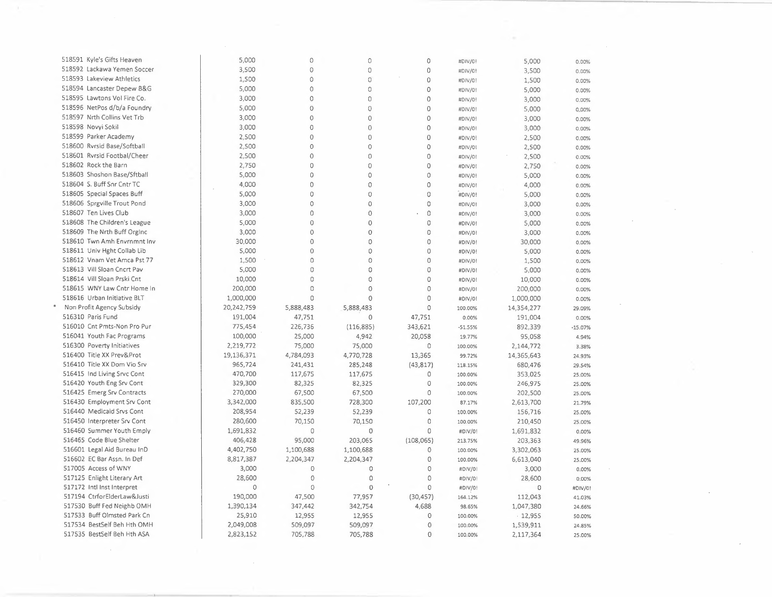| 518591 Kyle's Gifts Heaven   | 5,000      | 0              | 0              | 0              | #DIV/0!   | 5,000      | 0.00%     |
|------------------------------|------------|----------------|----------------|----------------|-----------|------------|-----------|
| 518592 Lackawa Yemen Soccer  | 3,500      | 0              | 0              | 0              | #DIV/0!   | 3,500      | 0.00%     |
| 518593 Lakeview Athletics    | 1,500      | $\circ$        | 0              | 0              | #DIV/0!   | 1,500      | 0.00%     |
| 518594 Lancaster Depew B&G   | 5,000      | $\circ$        | 0              | 0              | #DIV/0!   | 5,000      | 0.00%     |
| 518595 Lawtons Vol Fire Co.  | 3,000      | $\circ$        | 0              | 0              | #DIV/0!   | 3,000      | 0.00%     |
| 518596 NetPos d/b/a Foundry  | 5,000      | $\circ$        | $\circ$        | $\mathbf 0$    | #DIV/0!   | 5,000      | 0.00%     |
| 518597 Nrth Collins Vet Trb  | 3,000      | $\Omega$       | $\circ$        | 0              | #DIV/0!   | 3,000      | 0.00%     |
| 518598 Novyi Sokil           | 3,000      | $\circ$        | $\overline{0}$ | $\mathbf 0$    | #DIV/0!   | 3,000      | 0.00%     |
| 518599 Parker Academy        | 2,500      | $\overline{0}$ | Ō              | $\Omega$       | #DIV/0!   | 2,500      | 0.00%     |
| 518600 Rvrsid Base/Softball  | 2,500      | $\mathbf 0$    | $\circ$        | 0              | #DIV/01   | 2,500      | 0.00%     |
| 518601 Rvrsid Footbal/Cheer  | 2,500      | $\mathbf 0$    | 0              | 0              | #DIV/0!   | 2,500      | 0.00%     |
| 518602 Rock the Barn         | 2,750      | 0              | 0              | 0              | #DIV/0!   | 2,750      | 0.00%     |
| 518603 Shoshon Base/Sftball  | 5,000      | 0              | 0              | $\overline{0}$ | #DIV/0!   | 5,000      | 0.00%     |
| 518604 S. Buff Snr Cntr TC   | 4,000      | 0              | 0              | $\overline{0}$ | #DIV/0!   |            |           |
| 518605 Special Spaces Buff   | 5,000      | 0              | 0              | 0              |           | 4,000      | 0.00%     |
| 518606 Sprgville Trout Pond  | 3,000      | 0              | 0              | 0              | #DIV/0!   | 5,000      | 0.00%     |
| 518607 Ten Lives Club        |            | 0              |                |                | #DIV/0!   | 3,000      | 0.00%     |
|                              | 3,000      |                | 0              | 0              | #DIV/0!   | 3,000      | 0.00%     |
| 518608 The Children's League | 5,000      | $\circ$        | $\mathbf 0$    | 0              | #DIV/01   | 5,000      | 0.00%     |
| 518609 The Nrth Buff Orginc  | 3,000      | $\circ$        | $\overline{0}$ | 0              | #DIV/0!   | 3,000      | 0.00%     |
| 518610 Twn Amh Envrnmnt Inv  | 30,000     | $\circ$        | $\Omega$       | $\mathbf 0$    | #DIV/0!   | 30,000     | 0.00%     |
| 518611 Univ Hght Collab Lib  | 5,000      | $\overline{O}$ | 0              | $\overline{O}$ | #DIV/0!   | 5,000      | 0.00%     |
| 518612 Vnam Vet Amca Pst 77  | 1,500      | $\circ$        | 0              | $\overline{0}$ | #DIV/0!   | 1,500      | 0.00%     |
| 518613 Vill Sloan Cncrt Pav  | 5,000      | $\circ$        | 0              | $\overline{O}$ | #DIV/0!   | 5,000      | 0.00%     |
| 518614 Vill Sloan Prski Cnt  | 10,000     | $\circ$        | 0              | $\circ$        | #DIV/0!   | 10,000     | 0.00%     |
| 518615 WNY Law Cntr Home In  | 200,000    | $\Omega$       | $\circ$        | 0              | #DIV/0!   | 200,000    | 0.00%     |
| 518616 Urban Initiative BLT  | 1,000,000  | $\Omega$       | $\circ$        | $\circ$        | #DIV/0!   | 1,000,000  | 0.00%     |
| Non Profit Agency Subsidy    | 20,242,759 | 5,888,483      | 5,888,483      | $\circ$        | 100.00%   | 14,354,277 | 29.09%    |
| 516310 Paris Fund            | 191,004    | 47,751         | $\Omega$       | 47,751         | 0.00%     | 191,004    | 0.00%     |
| 516010 Cnt Pmts-Non Pro Pur  | 775,454    | 226,736        | (116,885)      | 343,621        | $-51.55%$ | 892,339    | $-15.07%$ |
| 516041 Youth Fac Programs    | 100,000    | 25,000         | 4,942          | 20,058         | 19.77%    | 95,058     | 4.94%     |
| 516300 Poverty Initiatives   | 2,219,772  | 75,000         | 75,000         | $\Omega$       | 100.00%   | 2,144,772  | 3.38%     |
| 516400 Title XX Prev&Prot    | 19,136,371 | 4,784,093      | 4,770,728      | 13,365         | 99.72%    | 14,365,643 | 24.93%    |
| 516410 Title XX Dom Vio Srv  | 965,724    | 241,431        | 285,248        | (43, 817)      | 118.15%   | 680,476    | 29.54%    |
| 516415 Ind Living Srvc Cont  | 470,700    | 117,675        | 117,675        | $\circ$        | 100.00%   | 353,025    | 25.00%    |
| 516420 Youth Eng Srv Cont    | 329,300    | 82,325         | 82,325         | $\circ$        | 100.00%   | 246,975    | 25.00%    |
| 516425 Emerg Srv Contracts   | 270,000    | 67,500         | 67,500         | $\mathbf 0$    | 100.00%   | 202,500    | 25.00%    |
| 516430 Employment Srv Cont   | 3,342,000  | 835,500        | 728,300        | 107,200        | 87.17%    | 2,613,700  | 21.79%    |
| 516440 Medicaid Srvs Cont    | 208,954    | 52,239         | 52,239         | $\circ$        | 100.00%   | 156,716    | 25.00%    |
| 516450 Interpreter Srv Cont  | 280,600    | 70,150         | 70,150         | $\mathbf 0$    | 100.00%   | 210,450    | 25.00%    |
| 516460 Summer Youth Emply    | 1,691,832  | $\circ$        | $\mathbf 0$    | $\mathbf 0$    | #DIV/0!   | 1,691,832  | 0.00%     |
| 516465 Code Blue Shelter     | 406,428    | 95,000         | 203,065        | (108, 065)     | 213.75%   | 203,363    | 49.96%    |
| 516601 Legal Aid Bureau InD  | 4,402,750  | 1,100,688      | 1,100,688      | $\mathbb O$    | 100.00%   | 3,302,063  | 25.00%    |
| 516602 EC Bar Assn. In Def   | 8,817,387  | 2,204,347      | 2,204,347      | $\circ$        | 100.00%   | 6,613,040  | 25.00%    |
| 517005 Access of WNY         | 3,000      | $\overline{0}$ | $\circ$        | $\overline{0}$ | #DIV/0!   | 3,000      | 0.00%     |
| 517125 Enlight Literary Art  | 28,600     | $\mathbf 0$    | $\circ$        | $\circ$        | #DIV/0!   | 28,600     | 0.00%     |
| 517172 Intl Inst Interpret   | $\circ$    | $\mathbf 0$    | $\circ$        | $\mathbf{0}$   | #DIV/0!   | $\circ$    | #DIV/0!   |
| 517194 CtrforElderLaw&Justi  | 190,000    | 47,500         | 77,957         | (30, 457)      | 164.12%   | 112,043    | 41.03%    |
| 517530 Buff Fed Neighb OMH   | 1,390,134  | 347,442        | 342,754        | 4,688          | 98.65%    | 1,047,380  | 24.66%    |
| 517533 Buff Olmsted Park Cn  | 25,910     | 12,955         | 12,955         | $\mathbf 0$    | 100.00%   | $-12,955$  | 50.00%    |
| 517534 BestSelf Beh Hth OMH  | 2,049,008  | 509,097        | 509,097        | $\circ$        | 100.00%   | 1,539,911  | 24.85%    |
| 517535 BestSelf Beh Hth ASA  | 2,823,152  | 705,788        | 705,788        | $\mathbf 0$    | 100.00%   | 2,117,364  | 25.00%    |
|                              |            |                |                |                |           |            |           |

 $\sim 10^{-10}$ 

 $\sim 10^{11}$ 

 $\sim 10^{-10}$ 

 $\sim$   $\sim$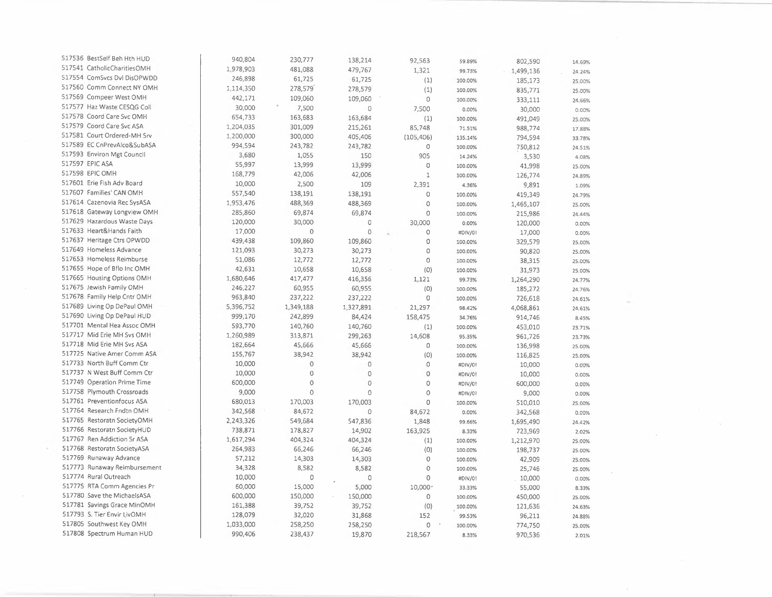| 517536 BestSelf Beh Hth HUD                             | 940,804   | 230,777   | 138,214     | 92,563       | 59.89%  | 802,590   | 14.69% |  |
|---------------------------------------------------------|-----------|-----------|-------------|--------------|---------|-----------|--------|--|
| 517541 CatholicCharitiesOMH                             | 1,978,903 | 481,088   | 479,767     | 1,321        | 99.73%  | 1,499,136 | 24.24% |  |
| 517554 ComSvcs Dvl DisOPWDD                             | 246,898   | 61,725    | 61,725      | (1)          | 100.00% | 185,173   | 25.00% |  |
| 517560 Comm Connect NY OMH                              | 1,114,350 | 278,579   | 278,579     | (1)          | 100.00% | 835,771   | 25.00% |  |
| 517569 Compeer West OMH                                 | 442,171   | 109,060   | 109,060     | $\Omega$     | 100.00% | 333,111   | 24.66% |  |
| 517577 Haz Waste CESQG Coll                             | 30,000    | 7,500     | 0           | 7,500        | 0.00%   | 30,000    | 0.00%  |  |
| 517578 Coord Care Svc OMH                               | 654,733   | 163,683   | 163,684     | (1)          | 100.00% | 491,049   | 25.00% |  |
| 517579 Coord Care Svc ASA                               | 1,204,035 | 301,009   | 215,261     | 85,748       | 71.51%  | 988,774   | 17.88% |  |
| 517581 Court Ordered-MH Srv                             | 1,200,000 | 300,000   | 405,406     | (105, 406)   | 135.14% | 794,594   | 33.78% |  |
| 517589 EC CnPrevAlco&SubASA                             | 994,594   | 243,782   | 243,782     | $\circ$      | 100.00% | 750,812   | 24.51% |  |
| 517593 Environ Mgt Council                              | 3,680     | 1,055     | 150         | 905          | 14.24%  | 3,530     | 4.08%  |  |
| 517597 EPIC ASA                                         | 55,997    | 13,999    | 13,999      | $\circ$      | 100.00% | 41,998    | 25.00% |  |
| 517598 EPIC OMH                                         | 168,779   | 42,006    | 42,006      | $\mathbf 1$  | 100.00% | 126,774   | 24.89% |  |
| 517601 Erie Fish Adv Board                              | 10,000    | 2,500     | 109         | 2,391        | 4.36%   | 9,891     | 1.09%  |  |
| 517607 Families' CAN OMH                                | 557,540   | 138,191   | 138,191     | $\circ$      | 100.00% | 419,349   | 24.79% |  |
| 517614 Cazenovia Rec SysASA                             | 1,953,476 | 488,369   | 488,369     | 0            | 100.00% |           |        |  |
| 517618 Gateway Longview OMH                             | 285,860   | 69,874    | 69,874      | 0            | 100.00% | 1,465,107 | 25.00% |  |
| 517629 Hazardous Waste Days                             | 120,000   | 30,000    | $\mathbb O$ | 30,000       |         | 215,986   | 24.44% |  |
| 517633 Heart&Hands Faith                                | 17,000    | $\circ$   | $\mathbf 0$ |              | 0.00%   | 120,000   | 0.00%  |  |
| 517637 Heritage Ctrs OPWDD                              | 439,438   | 109,860   |             | 0<br>$\circ$ | #DIV/0! | 17,000    | 0.00%  |  |
| 517649 Homeless Advance                                 | 121,093   | 30,273    | 109,860     |              | 100.00% | 329,579   | 25.00% |  |
| 517653 Homeless Reimburse                               | 51,086    |           | 30,273      | $\circ$      | 100.00% | 90,820    | 25.00% |  |
| 517655 Hope of Bflo Inc OMH                             |           | 12,772    | 12,772      | $\mathbf 0$  | 100.00% | 38,315    | 25.00% |  |
| 517665 Housing Options OMH                              | 42,631    | 10,658    | 10,658      | (0)          | 100.00% | 31,973    | 25.00% |  |
|                                                         | 1,680,646 | 417,477   | 416,356     | 1,121        | 99.73%  | 1,264,290 | 24.77% |  |
| 517675 Jewish Family OMH<br>517678 Family Help Cntr OMH | 246,227   | 60,955    | 60,955      | (0)          | 100.00% | 185,272   | 24.76% |  |
|                                                         | 963,840   | 237,222   | 237,222     | 0            | 100.00% | 726,618   | 24.61% |  |
| 517689 Living Op DePaul OMH                             | 5,396,752 | 1,349,188 | 1,327,891   | 21,297       | 98.42%  | 4,068,861 | 24.61% |  |
| 517690 Living Op DePaul HUD                             | 999,170   | 242,899   | 84,424      | 158,475      | 34.76%  | 914,746   | 8.45%  |  |
| 517701 Mental Hea Assoc OMH                             | 593,770   | 140,760   | 140,760     | (1)          | 100.00% | 453,010   | 23.71% |  |
| 517717 Mid Erie MH Svs OMH                              | 1,260,989 | 313,871   | 299,263     | 14,608       | 95.35%  | 961,726   | 23.73% |  |
| 517718 Mid Erie MH Svs ASA                              | 182,664   | 45,666    | 45,666      | 0            | 100.00% | 136,998   | 25.00% |  |
| 517725 Native Amer Comm ASA                             | 155,767   | 38,942    | 38,942      | (0)          | 100.00% | 116,825   | 25.00% |  |
| 517733 North Buff Comm Ctr                              | 10,000    | $\circ$   | $\circ$     | 0            | #DIV/0! | 10,000    | 0.00%  |  |
| 517737 N West Buff Comm Ctr                             | 10,000    | $\circ$   | $\circ$     | $\circ$      | #DIV/0! | 10,000    | 0.00%  |  |
| 517749 Operation Prime Time                             | 600,000   | 0         | $\circ$     | 0            | #DIV/0! | 600,000   | 0.00%  |  |
| 517758 Plymouth Crossroads                              | 9,000     | $\circ$   | $\circ$     | $\circ$      | #DIV/0! | 9,000     | 0.00%  |  |
| 517761 Preventionfocus ASA                              | 680,013   | 170,003   | 170,003     | $\circ$      | 100.00% | 510,010   | 25.00% |  |
| 517764 Research Fndtn OMH                               | 342,568   | 84,672    | $\circ$     | 84,672       | 0.00%   | 342,568   | 0.00%  |  |
| 517765 Restoratn SocietyOMH                             | 2,243,326 | 549,684   | 547,836     | 1,848        | 99.66%  | 1,695,490 | 24.42% |  |
| 517766 Restoratn SocietyHUD                             | 738,871   | 178,827   | 14,902      | 163,925      | 8.33%   | 723,969   | 2.02%  |  |
| 517767 Ren Addiction Sr ASA                             | 1,617,294 | 404,324   | 404,324     | (1)          | 100.00% | 1,212,970 | 25.00% |  |
| 517768 Restoratn SocietyASA                             | 264,983   | 66,246    | 66,246      | (0)          | 100.00% | 198,737   | 25.00% |  |
| 517769 Runaway Advance                                  | 57,212    | 14,303    | 14,303      | $\circ$      | 100.00% | 42,909    | 25.00% |  |
| 517773 Runaway Reimbursement                            | 34,328    | 8,582     | 8,582       | $\circ$      | 100.00% | 25,746    | 25.00% |  |
| 517774 Rural Outreach                                   | 10,000    | 0         | $\circ$     | $\circ$      | #DIV/0! | 10,000    | 0.00%  |  |
| 517775 RTA Comm Agencies Pr                             | 60,000    | 15,000    | 5,000       | 10,000       | 33.33%  | 55,000    | 8.33%  |  |
| 517780 Save the MichaelsASA                             | 600,000   | 150,000   | 150,000     | $\circ$      | 100.00% | 450,000   | 25.00% |  |
| 517781 Savings Grace MinOMH                             | 161,388   | 39,752    | 39,752      | (0)          | 100.00% | 121,636   | 24.63% |  |
| 517793 S. Tier Envir LivOMH                             | 128,079   | 32,020    | 31,868      | 152          | 99.53%  | 96,211    | 24.88% |  |
| 517805 Southwest Key OMH                                | 1,033,000 | 258,250   | 258,250     | $\circ$      | 100.00% | 774,750   | 25.00% |  |
| 517808 Spectrum Human HUD                               | 990,406   | 238,437   | 19,870      | 218,567      | 8.33%   | 970,536   | 2.01%  |  |
|                                                         |           |           |             |              |         |           |        |  |

 $\mathcal{A}$ 

 $\frac{1}{\sqrt{2}}$ 

 $\label{eq:2} \frac{1}{\sqrt{2}}\int_{0}^{\infty}\frac{1}{\sqrt{2\pi}}\left(\frac{1}{\sqrt{2}}\right)^{2}d\mu_{\rm{eff}}\,.$ 

 $\mathcal{A}(\cdot)$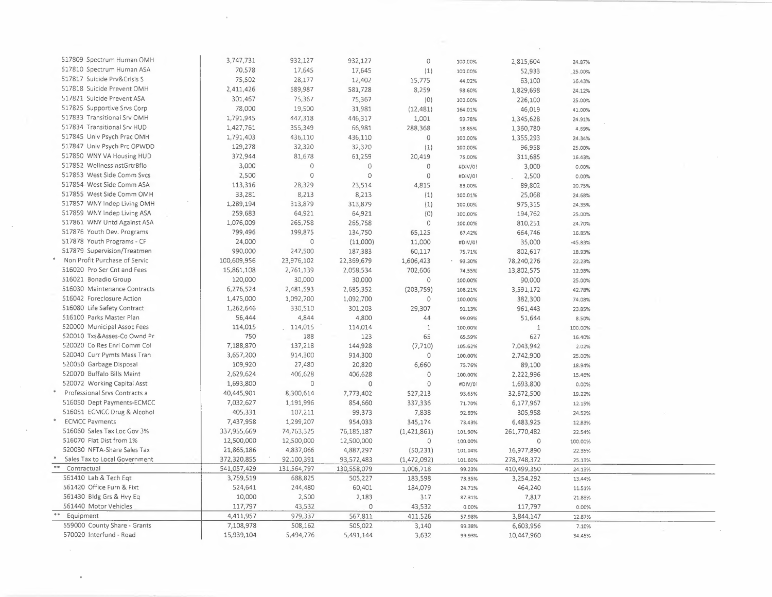| 517809 Spectrum Human OMH                                  | 3,747,731   | 932,127      | 932,127             | $\circ$        | 100.00% | 2,815,604   | 24.87%  |  |
|------------------------------------------------------------|-------------|--------------|---------------------|----------------|---------|-------------|---------|--|
| 517810 Spectrum Human ASA                                  | 70,578      | 17,645       | 17,645              | (1)            | 100.00% | 52,933      | 25.00%  |  |
| 517817 Suicide Prv&Crisis S                                | 75,502      | 28,177       | 12,402              | 15,775         | 44.02%  | 63,100      | 16.43%  |  |
| 517818 Suicide Prevent OMH                                 | 2,411,426   | 589,987      | 581,728             | 8,259          | 98.60%  | 1,829,698   | 24.12%  |  |
| 517821 Suicide Prevent ASA                                 | 301,467     | 75,367       | 75,367              | (0)            | 100.00% | 226,100     | 25.00%  |  |
| 517825 Supportive Srvs Corp                                | 78,000      | 19,500       | 31,981              | (12, 481)      | 164.01% | 46,019      | 41.00%  |  |
| 517833 Transitional Srv OMH                                | 1,791,945   | 447,318      | 446,317             | 1,001          | 99.78%  | 1,345,628   | 24.91%  |  |
| 517834 Transitional Srv HUD                                | 1,427,761   | 355,349      | 66,981              | 288,368        | 18.85%  | 1,360,780   | 4.69%   |  |
| 517845 Univ Psych Prac OMH                                 | 1,791,403   | 436,110      | 436,110             | $\overline{O}$ | 100.00% | 1,355,293   | 24.34%  |  |
| 517847 Univ Psych Prc OPWDD                                | 129,278     | 32,320       | 32,320              | (1)            | 100.00% | 96,958      | 25.00%  |  |
| 517850 WNY VA Housing HUD                                  | 372,944     | 81,678       | 61,259              | 20,419         | 75.00%  | 311,685     | 16.43%  |  |
| 517852 WellnessInstGrtrBflo                                | 3,000       | $\mathbf 0$  | $\circ$             | $\circ$        | #DIV/0! | 3,000       | 0.00%   |  |
| 517853 West Side Comm Svcs                                 | 2,500       | $\circ$      | $\circ$             | $\mathbf 0$    | #DIV/0! | 2,500       | 0.00%   |  |
| 517854 West Side Comm ASA                                  | 113,316     | 28,329       | 23,514              | 4,815          | 83.00%  | 89,802      | 20.75%  |  |
| 517855 West Side Comm OMH                                  | 33,281      | 8,213        | 8,213               | (1)            | 100.01% | 25,068      | 24.68%  |  |
| 517857 WNY Indep Living OMH                                | 1,289,194   | 313,879      | 313,879             | (1)            | 100.00% | 975,315     | 24.35%  |  |
| 517859 WNY Indep Living ASA                                | 259,683     | 64,921       | 64,921              | (0)            | 100.00% | 194,762     | 25.00%  |  |
| 517861 WNY Untd Against ASA                                | 1,076,009   | 265,758      | 265,758             | $\circ$        | 100.00% | 810,251     | 24.70%  |  |
| 517876 Youth Dev. Programs                                 | 799,496     | 199,875      | 134,750             | 65,125         | 67.42%  | 664,746     | 16.85%  |  |
| 517878 Youth Programs - CF                                 | 24,000      | 0            | (11,000)            | 11,000         | #DIV/0! | 35,000      | -45.83% |  |
| 517879 Supervision/Treatmen                                | 990,000     | 247,500      | 187,383             | 60,117         | 75.71%  | 802,617     | 18.93%  |  |
| Non Profit Purchase of Servic                              | 100,609,956 | 23,976,102   | 22,369,679          | 1,606,423      | 93.30%  |             |         |  |
| 516020 Pro Ser Cnt and Fees                                | 15,861,108  | 2,761,139    |                     | 702,606        |         | 78,240,276  | 22.23%  |  |
| 516021 Bonadio Group                                       | 120,000     | 30,000       | 2,058,534<br>30,000 | $\mathbf 0$    | 74.55%  | 13,802,575  | 12.98%  |  |
| 516030 Maintenance Contracts                               |             |              |                     |                | 100.00% | 90,000      | 25.00%  |  |
| 516042 Foreclosure Action                                  | 6,276,524   | 2,481,593    | 2,685,352           | (203, 759)     | 108.21% | 3,591,172   | 42.78%  |  |
| 516080 Life Safety Contract                                | 1,475,000   | 1,092,700    | 1,092,700           | 0              | 100.00% | 382,300     | 74.08%  |  |
| 516100 Parks Master Plan                                   | 1,262,646   | 330,510      | 301,203             | 29,307         | 91.13%  | 961,443     | 23.85%  |  |
|                                                            | 56,444      | 4,844        | 4,800               | 44             | 99.09%  | 51,644      | 8.50%   |  |
| 520000 Municipal Assoc Fees                                | 114,015     | 114,015      | 114,014             | $\mathbf{1}$   | 100.00% | $1\,$       | 100.00% |  |
| 520010 Txs&Asses-Co Ownd Pr<br>520020 Co Res Enrl Comm Col | 750         | 188          | 123                 | 65             | 65.59%  | 627         | 16.40%  |  |
|                                                            | 7,188,870   | 137,218      | 144,928             | (7, 710)       | 105.62% | 7,043,942   | 2.02%   |  |
| 520040 Curr Pymts Mass Tran                                | 3,657,200   | 914,300      | 914,300             | $\circ$        | 100.00% | 2,742,900   | 25.00%  |  |
| 520050 Garbage Disposal                                    | 109,920     | 27,480       | 20,820              | 6,660          | 75.76%  | 89,100      | 18.94%  |  |
| 520070 Buffalo Bills Maint                                 | 2,629,624   | 406,628      | 406,628             | $\mathbf 0$    | 100.00% | 2,222,996   | 15.46%  |  |
| 520072 Working Capital Asst                                | 1,693,800   | $\mathbf{0}$ | $\circ$             | $\mathbf 0$    | #DIV/0! | 1,693,800   | 0.00%   |  |
| Professional Srvs Contracts a                              | 40,445,901  | 8,300,614    | 7,773,402           | 527,213        | 93.65%  | 32,672,500  | 19.22%  |  |
| 516050 Dept Payments-ECMCC                                 | 7,032,627   | 1,191,996    | 854,660             | 337,336        | 71.70%  | 6,177,967   | 12.15%  |  |
| 516051 ECMCC Drug & Alcohol                                | 405,331     | 107,211      | 99,373              | 7,838          | 92.69%  | 305,958     | 24.52%  |  |
| <b>ECMCC Payments</b>                                      | 7,437,958   | 1,299,207    | 954,033             | 345,174        | 73.43%  | 6,483,925   | 12.83%  |  |
| 516060 Sales Tax Loc Gov 3%                                | 337,955,669 | 74,763,325   | 76,185,187          | (1,421,861)    | 101.90% | 261,770,482 | 22.54%  |  |
| 516070 Flat Dist from 1%                                   | 12,500,000  | 12,500,000   | 12,500,000          | $\circ$        | 100.00% | $\Omega$    | 100.00% |  |
| 520030 NFTA-Share Sales Tax                                | 21,865,186  | 4,837,066    | 4,887,297           | (50, 231)      | 101.04% | 16,977,890  | 22.35%  |  |
| Sales Tax to Local Government<br>$**$                      | 372,320,855 | 92,100,391   | 93,572,483          | (1,472,092)    | 101.60% | 278,748,372 | 25.13%  |  |
| Contractual                                                | 541,057,429 | 131,564,797  | 130,558,079         | 1,006,718      | 99.23%  | 410,499,350 | 24.13%  |  |
| 561410 Lab & Tech Egt                                      | 3,759,519   | 688,825      | 505,227             | 183,598        | 73.35%  | 3,254,292   | 13.44%  |  |
| 561420 Office Furn & Fixt                                  | 524,641     | 244,480      | 60,401              | 184,079        | 24.71%  | 464,240     | 11.51%  |  |
| 561430 Bldg Grs & Hvy Eq                                   | 10,000      | 2,500        | 2,183               | 317            | 87.31%  | 7,817       | 21.83%  |  |
| 561440 Motor Vehicles<br>$\pm\pm$                          | 117,797     | 43,532       | $\mathbb O$         | 43,532         | 0.00%   | 117,797     | 0.00%   |  |
| Equipment                                                  | 4,411,957   | 979,337      | 567,811             | 411,526        | 57.98%  | 3,844,147   | 12.87%  |  |
| 559000 County Share - Grants                               | 7,108,978   | 508,162      | 505,022             | 3,140          | 99.38%  | 6,603,956   | 7.10%   |  |
| 570020 Interfund - Road                                    | 15,939,104  | 5,494,776    | 5,491,144           | 3,632          | 99.93%  | 10,447,960  | 34.45%  |  |
|                                                            |             |              |                     |                |         |             |         |  |

 $\mathcal{L}^{\text{max}}_{\text{max}}$ 

 $\sim 10^{11}$  km

 $\sim 10^{-10}$ 

 $\sim 10^{-1}$ 

 $\mathcal{A}^{\mathrm{c}}$  .

 $\mathcal{A}^{\pm}$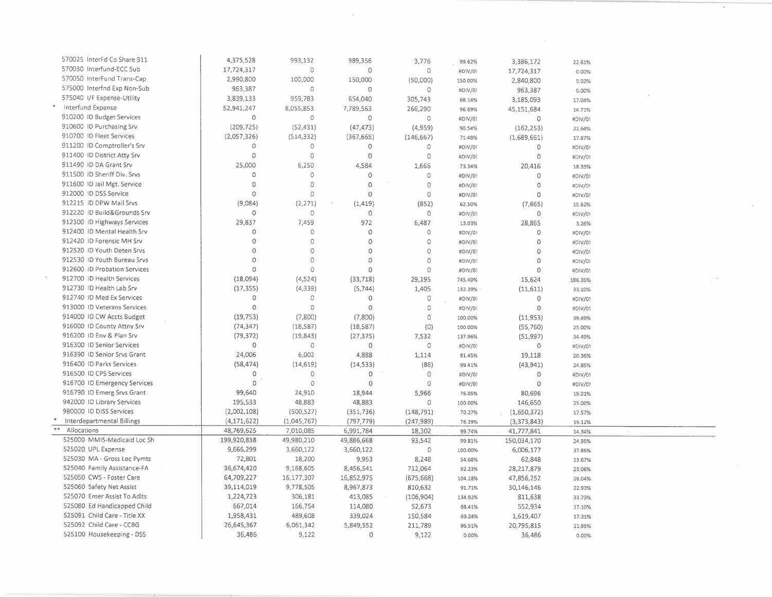| 570025 InterFd Co Share 911                                | 4,375,528                 | 993,132     | 989,356     | 3.776       | 99.62%  | 3,386,172   | 22.61%  |  |
|------------------------------------------------------------|---------------------------|-------------|-------------|-------------|---------|-------------|---------|--|
| 570030 Interfund-ECC Sub                                   | 17,724,317                | $\circ$     | $\circ$     | 0           | #DIV/0! | 17,724,317  | 0.00%   |  |
| 570050 InterFund Trans-Cap                                 | 2,990,800                 | 100,000     | 150,000     | (50,000)    | 150.00% | 2,840,800   | 5.02%   |  |
| 575000 Interfnd Exp Non-Sub                                | 963,387                   | $\Omega$    | $\circ$     | 0           | #DIV/0! | 963,387     | 0.00%   |  |
| 575040 I/F Expense-Utility                                 | 3,839,133                 | 959,783     | 654,040     | 305,743     | 68.14%  | 3,185,093   | 17.04%  |  |
| $\ast$<br>Interfund Expense                                | 52,941,247                | 8,055,853   | 7,789,563   | 266,290     | 96.69%  | 45,151,684  | 14.71%  |  |
| 910200 ID Budget Services                                  | 0                         | $\circ$     | $\circ$     | $\Omega$    | #DIV/0! | $\circ$     | #DIV/0! |  |
| 910600 ID Purchasing Srv                                   | (209, 725)                | (52, 431)   | (47, 473)   | (4,959)     | 90.54%  | (162, 253)  | 22.64%  |  |
| 910700 ID Fleet Services                                   | (2,057,326)               | (514, 332)  | (367, 665)  | (146, 667)  | 71.48%  | (1,689,661) | 17.87%  |  |
| 911200 ID Comptroller's Srv                                | 0                         | $\circ$     | $\circ$     | 0           | #DIV/0! | 0           | #DIV/0! |  |
| 911400 ID District Atty Srv                                | 0                         | $\circ$     | $\circ$     | 0           | #DIV/0! | $\circ$     | #DIV/0! |  |
| 911490 ID DA Grant Srv                                     | 25,000                    | 6,250       | 4,584       | 1,666       | 73.34%  | 20,416      | 18.33%  |  |
| 911500 ID Sheriff Div. Srvs                                | 0                         | $\circ$     | $\circ$     | 0           | #DIV/0! | $\circ$     | #DIV/0! |  |
| 911600 ID Jail Mgt. Service                                | $\circ$                   | $\circ$     | $\circ$     | $\circ$     | #DIV/0! | $\Omega$    | #DIV/0! |  |
| 912000 ID DSS Service                                      | $\circ$                   | $\Omega$    | $\circ$     | $\mathbf 0$ | #DIV/0! | $\circ$     | #DIV/0! |  |
| 912215 ID DPW Mail Srvs                                    | (9,084)                   | (2, 271)    | (1, 419)    | (852)       | 62.50%  | (7,665)     | 15.62%  |  |
| 912220 ID Build&Grounds Srv                                | 0                         | $\Omega$    | $\circ$     | 0           | #DIV/0! | $\circ$     | #DIV/0! |  |
| 912300 ID Highways Services                                | 29,837                    | 7,459       | 972         | 6,487       | 13.03%  | 28,865      | 3.26%   |  |
| 912400 ID Mental Health Srv                                | 0                         | $\Omega$    | $\circ$     | $\Omega$    | #DIV/0! | $\circ$     | #DIV/0! |  |
| 912420 ID Forensic MH Srv                                  | $\mathbf 0$               | $\mathbf 0$ | $\circ$     | $\circ$     | #DIV/0! | $\circ$     | #DIV/0! |  |
| 912520 ID Youth Deten Srvs                                 | $\overline{0}$            | $\circ$     | $\mathbb O$ | $\mathbf 0$ | #DIV/0! | $\circ$     | #DIV/0! |  |
| 912530 ID Youth Bureau Srvs                                | $\circ$                   | $\circ$     | $\circ$     | $\circ$     | #DIV/0! | $\Omega$    | #DIV/0! |  |
| 912600 ID Probation Services                               | $\mathsf{O}\xspace$       | $\circ$     | $\circ$     | $\circ$     | #DIV/0! | $\Omega$    | #DIV/0! |  |
| 912700 ID Health Services                                  | (18,094)                  | (4,524)     | (33, 718)   | 29,195      | 745.40% | 15,624      | 186.35% |  |
| 912730 ID Health Lab Srv                                   | (17, 355)                 | (4, 339)    | (5,744)     | 1,405       | 132.39% | (11, 611)   | 33.10%  |  |
| 912740 ID Med Ex Services                                  | $\circ$                   | $\circ$     | 0           | 0           | #DIV/0! | $\mathbf 0$ | #DIV/0! |  |
| 913000 ID Veterans Services                                | $\mathbf{0}$              | $\circ$     | $\circ$     | $\circ$     | #DIV/0! | $\circ$     | #DIV/0! |  |
| 914000 ID CW Accts Budget                                  | (19, 753)                 | (7,800)     | (7,800)     | $\circ$     | 100.00% | (11,953)    | 39.49%  |  |
| 916000 ID County Attny Srv                                 | (74, 347)                 | (18, 587)   | (18, 587)   | (0)         | 100.00% | (55,760)    | 25.00%  |  |
| 916200 ID Env & Plan Srv                                   | (79, 372)                 | (19, 843)   | (27, 375)   | 7,532       | 137.96% | (51,997)    | 34.49%  |  |
| 916300 ID Senior Services                                  | $\circ$                   | $\circ$     | 0           | $\mathbb O$ | #DIV/0! | $\Omega$    | #DIV/0! |  |
| 916390 ID Senior Srvs Grant                                | 24,006                    | 6,002       | 4,888       | 1,114       | 81.45%  | 19,118      |         |  |
| 916400 ID Parks Services                                   | (58, 474)                 | (14, 619)   | (14, 533)   | (86)        | 99.41%  | (43, 941)   | 20.36%  |  |
| 916500 ID CPS Services                                     | 0                         | $\circ$     | $\circ$     | $\circ$     |         |             | 24.85%  |  |
| 916700 ID Emergency Services                               | $\mathbf 0$               | $\circ$     | $\circ$     | $\mathbf 0$ | #DIV/0! | $\circ$     | #DIV/0! |  |
| 916790 ID Emerg Srvs Grant                                 |                           |             |             |             | #DIV/0! | $\circ$     | #DIV/0! |  |
| 942000 ID Library Services                                 | 99,640                    | 24,910      | 18,944      | 5,966       | 76.05%  | 80,696      | 19.01%  |  |
|                                                            | 195,533                   | 48,883      | 48,883      | $\circ$     | 100.00% | 146,650     | 25.00%  |  |
| 980000 ID DISS Services                                    | (2,002,108)               | (500, 527)  | (351, 736)  | (148, 791)  | 70.27%  | (1,650,372) | 17.57%  |  |
| Interdepartmental Billings<br>Allocations                  | (4, 171, 622)             | (1,045,767) | (797, 779)  | (247, 989)  | 76.29%  | (3,373,843) | 19.12%  |  |
| 525000 MMIS-Medicaid Loc Sh                                | 48,769,625<br>199,920,838 | 7,010,085   | 6,991,784   | 18,302      | 99.74%  | 41,777,841  | 14.34%  |  |
| 525020 UPL Expense                                         | 9,666,299                 | 49,980,210  | 49,886,668  | 93,542      | 99.81%  | 150,034,170 | 24.95%  |  |
|                                                            |                           | 3,660,122   | 3,660,122   | $\circ$     | 100.00% | 6,006,177   | 37.86%  |  |
| 525030 MA - Gross Loc Pymts<br>525040 Family Assistance-FA | 72,801                    | 18,200      | 9,953       | 8,248       | 54.68%  | 62,848      | 13.67%  |  |
|                                                            | 36,674,420                | 9,168,605   | 8,456,541   | 712,064     | 92.23%  | 28,217,879  | 23.06%  |  |
| 525050 CWS - Foster Care                                   | 64,709,227                | 16,177,307  | 16,852,975  | (675, 668)  | 104.18% | 47,856,252  | 26.04%  |  |
| 525060 Safety Net Assist                                   | 39,114,019                | 9,778,505   | 8,967,873   | 810,632     | 91.71%  | 30,146,146  | 22.93%  |  |
| 525070 Emer Assist To Adlts                                | 1,224,723                 | 306,181     | 413,085     | (106, 904)  | 134.92% | 811,638     | 33.73%  |  |
| 525080 Ed Handicapped Child                                | 667,014                   | 166,754     | 114,080     | 52,673      | 68.41%  | 552,934     | 17.10%  |  |
| 525091 Child Care - Title XX                               | 1,958,431                 | 489,608     | 339,024     | 150,584     | 69.24%  | 1,619,407   | 17.31%  |  |
| 525092 Child Care - CCBG                                   | 26,645,367                | 6,061,342   | 5,849,552   | 211,789     | 96.51%  | 20,795,815  | 21.95%  |  |
| 525100 Housekeeping - DSS                                  | 36,486                    | 9,122       | $\Omega$    | 9,122       | 0.00%   | 36,486      | 0.00%   |  |

 $\overline{\phantom{a}}$ 

 $\sim$